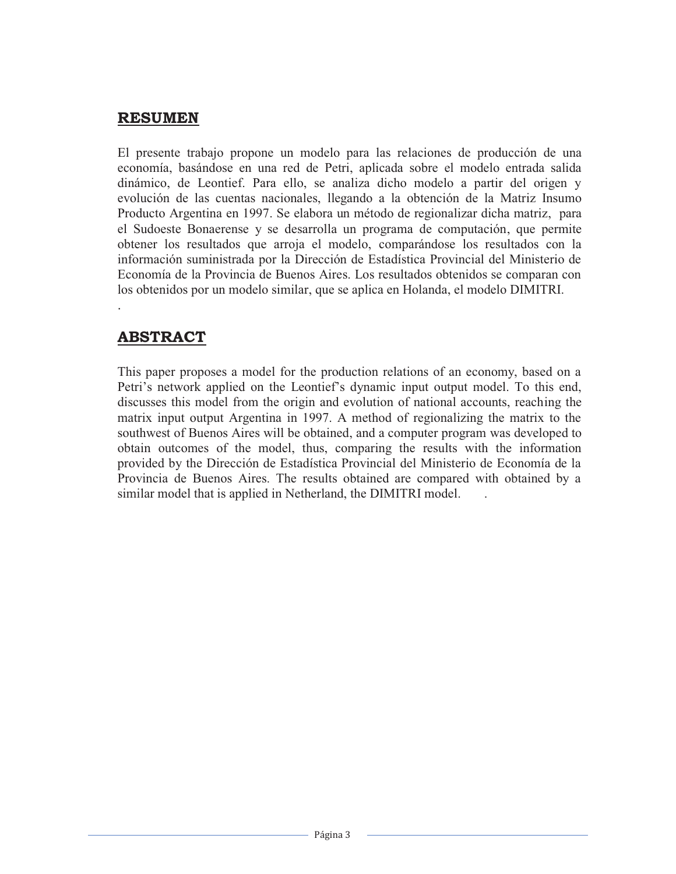## **RESUMEN**

El presente trabajo propone un modelo para las relaciones de producción de una economía, basándose en una red de Petri, aplicada sobre el modelo entrada salida dinámico, de Leontief. Para ello, se analiza dicho modelo a partir del origen y evolución de las cuentas nacionales, llegando a la obtención de la Matriz Insumo Producto Argentina en 1997. Se elabora un método de regionalizar dicha matriz, para el Sudoeste Bonaerense y se desarrolla un programa de computación, que permite obtener los resultados que arroja el modelo, comparándose los resultados con la información suministrada por la Dirección de Estadística Provincial del Ministerio de Economía de la Provincia de Buenos Aires. Los resultados obtenidos se comparan con los obtenidos por un modelo similar, que se aplica en Holanda, el modelo DIMITRI. .

## **ABSTRACT**

This paper proposes a model for the production relations of an economy, based on a Petri's network applied on the Leontief's dynamic input output model. To this end, discusses this model from the origin and evolution of national accounts, reaching the matrix input output Argentina in 1997. A method of regionalizing the matrix to the southwest of Buenos Aires will be obtained, and a computer program was developed to obtain outcomes of the model, thus, comparing the results with the information provided by the Dirección de Estadística Provincial del Ministerio de Economía de la Provincia de Buenos Aires. The results obtained are compared with obtained by a similar model that is applied in Netherland, the DIMITRI model. .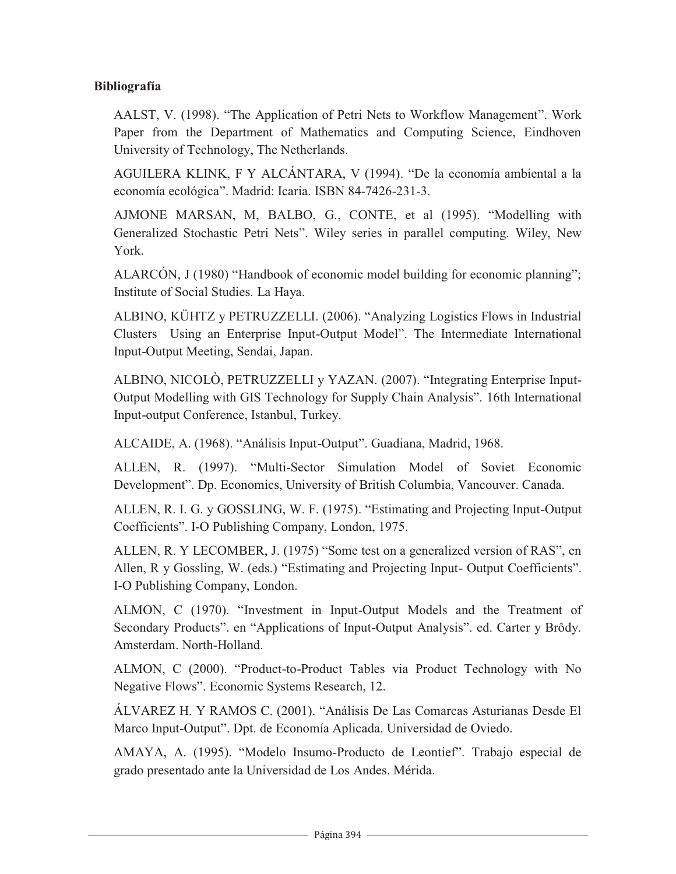## **Bibliografía**

AALST, V. (1998). "The Application of Petri Nets to Workflow Management". Work Paper from the Department of Mathematics and Computing Science, Eindhoven University of Technology, The Netherlands.

AGUILERA KLINK, F Y ALCÁNTARA, V (1994). "De la economía ambiental a la economía ecológica". Madrid: Icaria. ISBN 84-7426-231-3.

AJMONE MARSAN, M, BALBO, G., CONTE, et al (1995). "Modelling with Generalized Stochastic Petri Nets". Wiley series in parallel computing. Wiley, New York.

ALARCÓN, J (1980) "Handbook of economic model building for economic planning"; Institute of Social Studies. La Haya.

ALBINO, KÜHTZ y PETRUZZELLI. (2006). "Analyzing Logistics Flows in Industrial Clusters Using an Enterprise Input-Output Model". The Intermediate International Input-Output Meeting, Sendai, Japan.

ALBINO, NICOLÒ, PETRUZZELLI y YAZAN. (2007). "Integrating Enterprise Input-Output Modelling with GIS Technology for Supply Chain Analysis". 16th International Input-output Conference, Istanbul, Turkey.

ALCAIDE, A. (1968). "Análisis Input-Output". Guadiana, Madrid, 1968.

ALLEN, R. (1997). "Multi-Sector Simulation Model of Soviet Economic Development". Dp. Economics, University of British Columbia, Vancouver. Canada.

ALLEN, R. I. G. y GOSSLING, W. F. (1975). "Estimating and Projecting Input-Output Coefficients". I-O Publishing Company, London, 1975.

ALLEN, R. Y LECOMBER, J. (1975) "Some test on a generalized version of RAS", en Allen, R y Gossling, W. (eds.) "Estimating and Projecting Input- Output Coefficients". I-O Publishing Company, London.

ALMON, C (1970). "Investment in Input-Output Models and the Treatment of Secondary Products". en "Applications of Input-Output Analysis". ed. Carter y Brôdy. Amsterdam. North-Holland.

ALMON, C (2000). "Product-to-Product Tables via Product Technology with No Negative Flows". Economic Systems Research, 12.

ÁLVAREZ H. Y RAMOS C. (2001). "Análisis De Las Comarcas Asturianas Desde El Marco Input-Output". Dpt. de Economía Aplicada. Universidad de Oviedo.

AMAYA, A. (1995). "Modelo Insumo-Producto de Leontief". Trabajo especial de grado presentado ante la Universidad de Los Andes. Mérida.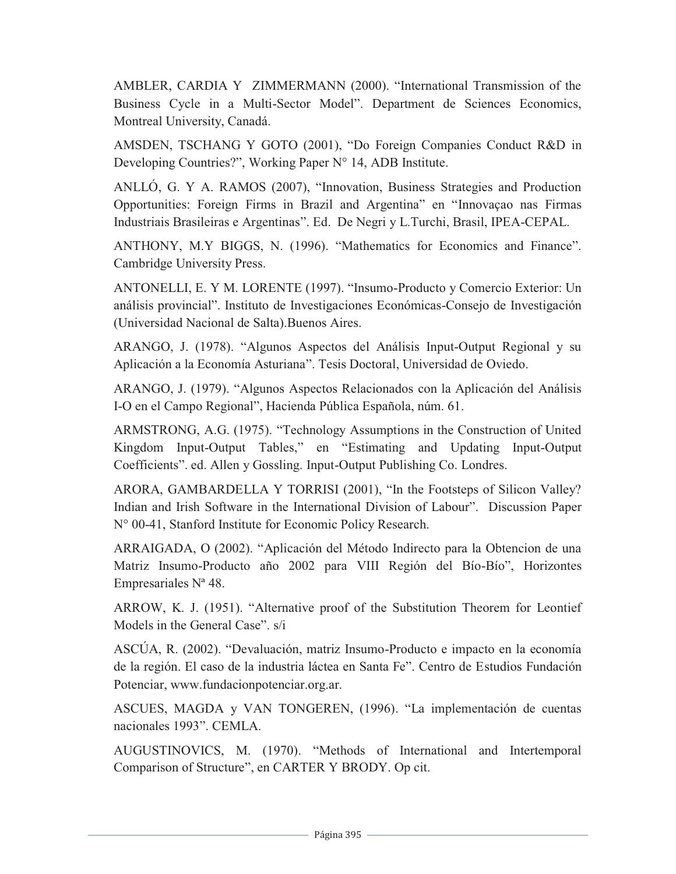AMBLER, CARDIA Y ZIMMERMANN (2000). "International Transmission of the Business Cycle in a Multi-Sector Model". Department de Sciences Economics, Montreal University, Canadá.

AMSDEN, TSCHANG Y GOTO (2001), "Do Foreign Companies Conduct R&D in Developing Countries?", Working Paper N° 14, ADB Institute.

ANLLÓ, G. Y A. RAMOS (2007), "Innovation, Business Strategies and Production Opportunities: Foreign Firms in Brazil and Argentina" en "Innovaçao nas Firmas Industriais Brasileiras e Argentinas". Ed. De Negri y L.Turchi, Brasil, IPEA-CEPAL.

ANTHONY, M.Y BIGGS, N. (1996). "Mathematics for Economics and Finance". Cambridge University Press.

ANTONELLI, E. Y M. LORENTE (1997). "Insumo-Producto y Comercio Exterior: Un análisis provincial". Instituto de Investigaciones Económicas-Consejo de Investigación (Universidad Nacional de Salta).Buenos Aires.

ARANGO, J. (1978). "Algunos Aspectos del Análisis Input-Output Regional y su Aplicación a la Economía Asturiana". Tesis Doctoral, Universidad de Oviedo.

ARANGO, J. (1979). "Algunos Aspectos Relacionados con la Aplicación del Análisis I-O en el Campo Regional", Hacienda Pública Española, núm. 61.

ARMSTRONG, A.G. (1975). "Technology Assumptions in the Construction of United Kingdom Input-Output Tables," en "Estimating and Updating Input-Output Coefficients". ed. Allen y Gossling. Input-Output Publishing Co. Londres.

ARORA, GAMBARDELLA Y TORRISI (2001), "In the Footsteps of Silicon Valley? Indian and Irish Software in the International Division of Labour". Discussion Paper N° 00-41, Stanford Institute for Economic Policy Research.

ARRAIGADA, O (2002). "Aplicación del Método Indirecto para la Obtencion de una Matriz Insumo-Producto año 2002 para VIII Región del Bío-Bío", Horizontes Empresariales Nª 48.

ARROW, K. J. (1951). "Alternative proof of the Substitution Theorem for Leontief Models in the General Case". s/i

ASCÚA, R. (2002). "Devaluación, matriz Insumo-Producto e impacto en la economía de la región. El caso de la industria láctea en Santa Fe". Centro de Estudios Fundación Potenciar, www.fundacionpotenciar.org.ar.

ASCUES, MAGDA y VAN TONGEREN, (1996). "La implementación de cuentas nacionales 1993". CEMLA.

AUGUSTINOVICS, M. (1970). "Methods of International and Intertemporal Comparison of Structure", en CARTER Y BRODY. Op cit.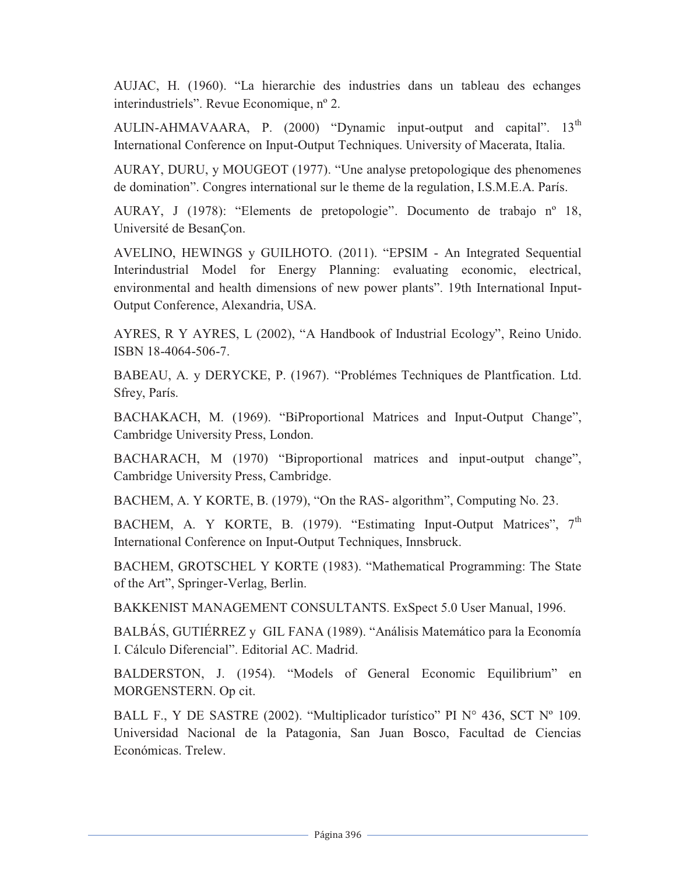AUJAC, H. (1960). "La hierarchie des industries dans un tableau des echanges interindustriels". Revue Economique, nº 2.

AULIN-AHMAVAARA, P. (2000) "Dynamic input-output and capital". 13<sup>th</sup> International Conference on Input-Output Techniques. University of Macerata, Italia.

AURAY, DURU, y MOUGEOT (1977). "Une analyse pretopologique des phenomenes de domination". Congres international sur le theme de la regulation, I.S.M.E.A. París.

AURAY, J (1978): "Elements de pretopologie". Documento de trabajo nº 18, Université de BesanÇon.

AVELINO, HEWINGS y GUILHOTO. (2011). "EPSIM - An Integrated Sequential Interindustrial Model for Energy Planning: evaluating economic, electrical, environmental and health dimensions of new power plants". 19th International Input-Output Conference, Alexandria, USA.

AYRES, R Y AYRES, L (2002), "A Handbook of Industrial Ecology", Reino Unido. ISBN 18-4064-506-7.

BABEAU, A. y DERYCKE, P. (1967). "Problémes Techniques de Plantfication. Ltd. Sfrey, París.

BACHAKACH, M. (1969). "BiProportional Matrices and Input-Output Change", Cambridge University Press, London.

BACHARACH, M (1970) "Biproportional matrices and input-output change", Cambridge University Press, Cambridge.

BACHEM, A. Y KORTE, B. (1979), "On the RAS- algorithm", Computing No. 23.

BACHEM, A. Y KORTE, B. (1979). "Estimating Input-Output Matrices",  $7<sup>th</sup>$ International Conference on Input-Output Techniques, Innsbruck.

BACHEM, GROTSCHEL Y KORTE (1983). "Mathematical Programming: The State of the Art", Springer-Verlag, Berlin.

BAKKENIST MANAGEMENT CONSULTANTS. ExSpect 5.0 User Manual, 1996.

BALBÁS, GUTIÉRREZ y GIL FANA (1989). "Análisis Matemático para la Economía I. Cálculo Diferencial". Editorial AC. Madrid.

BALDERSTON, J. (1954). "Models of General Economic Equilibrium" en MORGENSTERN. Op cit.

BALL F., Y DE SASTRE (2002). "Multiplicador turístico" PI N° 436, SCT N° 109. Universidad Nacional de la Patagonia, San Juan Bosco, Facultad de Ciencias Económicas. Trelew.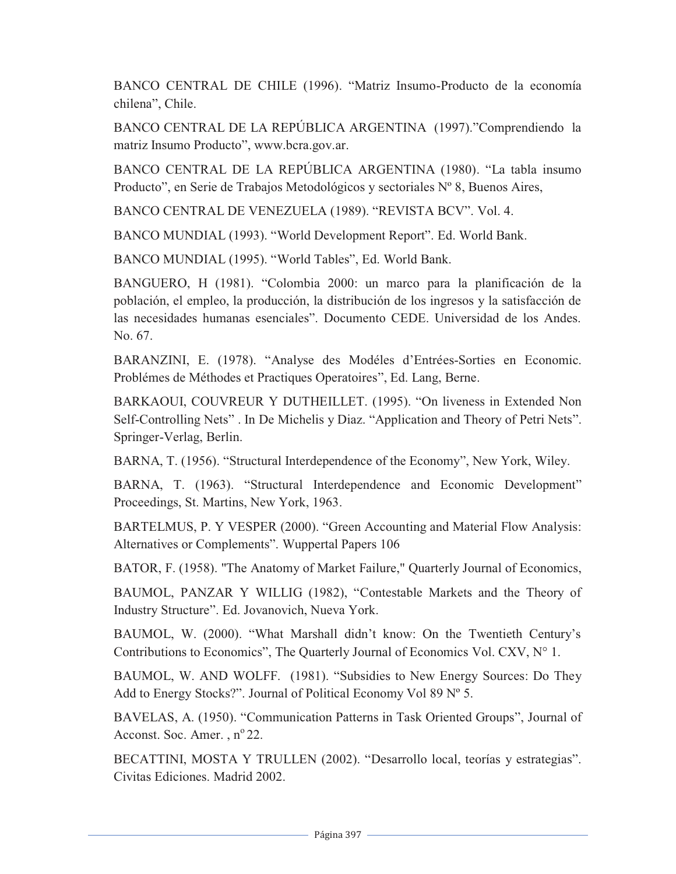BANCO CENTRAL DE CHILE (1996). "Matriz Insumo-Producto de la economía chilena", Chile.

BANCO CENTRAL DE LA REPÚBLICA ARGENTINA (1997)."Comprendiendo la matriz Insumo Producto", www.bcra.gov.ar.

BANCO CENTRAL DE LA REPÚBLICA ARGENTINA (1980). "La tabla insumo Producto", en Serie de Trabajos Metodológicos y sectoriales Nº 8, Buenos Aires,

BANCO CENTRAL DE VENEZUELA (1989). "REVISTA BCV". Vol. 4.

BANCO MUNDIAL (1993). "World Development Report". Ed. World Bank.

BANCO MUNDIAL (1995). "World Tables", Ed. World Bank.

BANGUERO, H (1981). "Colombia 2000: un marco para la planificación de la población, el empleo, la producción, la distribución de los ingresos y la satisfacción de las necesidades humanas esenciales". Documento CEDE. Universidad de los Andes. No. 67.

BARANZINI, E. (1978). "Analyse des Modéles d'Entrées-Sorties en Economic. Problémes de Méthodes et Practiques Operatoires", Ed. Lang, Berne.

BARKAOUI, COUVREUR Y DUTHEILLET. (1995). "On liveness in Extended Non Self-Controlling Nets" . In De Michelis y Diaz. "Application and Theory of Petri Nets". Springer-Verlag, Berlin.

BARNA, T. (1956). "Structural Interdependence of the Economy", New York, Wiley.

BARNA, T. (1963). "Structural Interdependence and Economic Development" Proceedings, St. Martins, New York, 1963.

BARTELMUS, P. Y VESPER (2000). "Green Accounting and Material Flow Analysis: Alternatives or Complements". Wuppertal Papers 106

BATOR, F. (1958). "The Anatomy of Market Failure," Quarterly Journal of Economics,

BAUMOL, PANZAR Y WILLIG (1982), "Contestable Markets and the Theory of Industry Structure". Ed. Jovanovich, Nueva York.

BAUMOL, W. (2000). "What Marshall didn't know: On the Twentieth Century's Contributions to Economics", The Quarterly Journal of Economics Vol. CXV,  $N^{\circ}$  1.

BAUMOL, W. AND WOLFF. (1981). "Subsidies to New Energy Sources: Do They Add to Energy Stocks?". Journal of Political Economy Vol 89 Nº 5.

BAVELAS, A. (1950). "Communication Patterns in Task Oriented Groups", Journal of Acconst. Soc. Amer. ,  $n^{\circ}22$ .

BECATTINI, MOSTA Y TRULLEN (2002). "Desarrollo local, teorías y estrategias". Civitas Ediciones. Madrid 2002.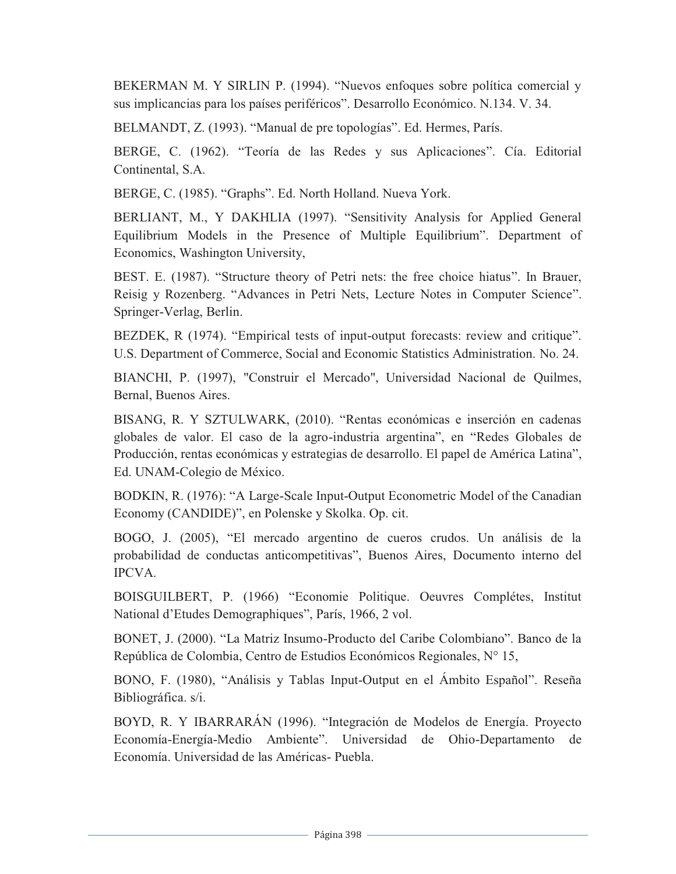BEKERMAN M. Y SIRLIN P. (1994). "Nuevos enfoques sobre política comercial y sus implicancias para los países periféricos". Desarrollo Económico. N.134. V. 34.

BELMANDT, Z. (1993). "Manual de pre topologías". Ed. Hermes, París.

BERGE, C. (1962). "Teoría de las Redes y sus Aplicaciones". Cía. Editorial Continental, S.A.

BERGE, C. (1985). "Graphs". Ed. North Holland. Nueva York.

BERLIANT, M., Y DAKHLIA (1997). "Sensitivity Analysis for Applied General Equilibrium Models in the Presence of Multiple Equilibrium". Department of Economics, Washington University,

BEST. E. (1987). "Structure theory of Petri nets: the free choice hiatus". In Brauer, Reisig y Rozenberg. "Advances in Petri Nets, Lecture Notes in Computer Science". Springer-Verlag, Berlin.

BEZDEK, R (1974). "Empirical tests of input-output forecasts: review and critique". U.S. Department of Commerce, Social and Economic Statistics Administration. No. 24.

BIANCHI, P. (1997), "Construir el Mercado", Universidad Nacional de Quilmes, Bernal, Buenos Aires.

BISANG, R. Y SZTULWARK, (2010). "Rentas económicas e inserción en cadenas globales de valor. El caso de la agro-industria argentina", en "Redes Globales de Producción, rentas económicas y estrategias de desarrollo. El papel de América Latina", Ed. UNAM-Colegio de México.

BODKIN, R. (1976): "A Large-Scale Input-Output Econometric Model of the Canadian Economy (CANDIDE)", en Polenske y Skolka. Op. cit.

BOGO, J. (2005), "El mercado argentino de cueros crudos. Un análisis de la probabilidad de conductas anticompetitivas", Buenos Aires, Documento interno del IPCVA.

BOISGUILBERT, P. (1966) "Economie Politique. Oeuvres Complétes, Institut National d'Etudes Demographiques", París, 1966, 2 vol.

BONET, J. (2000). "La Matriz Insumo-Producto del Caribe Colombiano". Banco de la República de Colombia, Centro de Estudios Económicos Regionales, N° 15,

BONO, F. (1980), "Análisis y Tablas Input-Output en el Ámbito Español". Reseña Bibliográfica. s/i.

BOYD, R. Y IBARRARÁN (1996). "Integración de Modelos de Energía. Proyecto Economía-Energía-Medio Ambiente". Universidad de Ohio-Departamento de Economía. Universidad de las Américas- Puebla.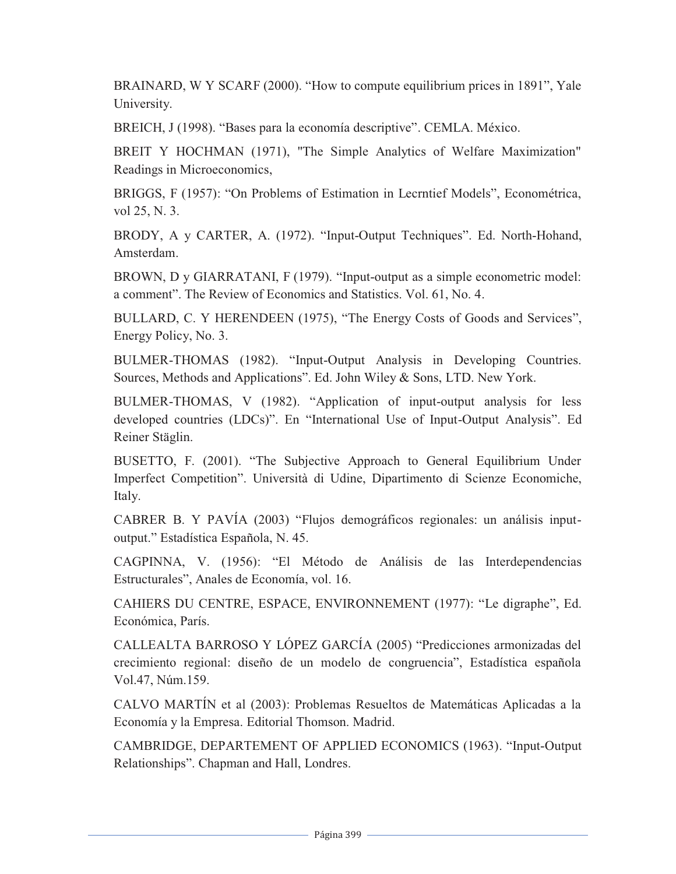BRAINARD, W Y SCARF (2000). "How to compute equilibrium prices in 1891", Yale University.

BREICH, J (1998). "Bases para la economía descriptive". CEMLA. México.

BREIT Y HOCHMAN (1971), "The Simple Analytics of Welfare Maximization" Readings in Microeconomics,

BRIGGS, F (1957): "On Problems of Estimation in Lecrntief Models", Econométrica, vol 25, N. 3.

BRODY, A y CARTER, A. (1972). "Input-Output Techniques". Ed. North-Hohand, Amsterdam.

BROWN, D y GIARRATANI, F (1979). "Input-output as a simple econometric model: a comment". The Review of Economics and Statistics. Vol. 61, No. 4.

BULLARD, C. Y HERENDEEN (1975), "The Energy Costs of Goods and Services", Energy Policy, No. 3.

BULMER-THOMAS (1982). "Input-Output Analysis in Developing Countries. Sources, Methods and Applications". Ed. John Wiley & Sons, LTD. New York.

BULMER-THOMAS, V (1982). "Application of input-output analysis for less developed countries (LDCs)". En "International Use of Input-Output Analysis". Ed Reiner Stäglin.

BUSETTO, F. (2001). "The Subjective Approach to General Equilibrium Under Imperfect Competition". Università di Udine, Dipartimento di Scienze Economiche, Italy.

CABRER B. Y PAVÍA (2003) "Flujos demográficos regionales: un análisis inputoutput." Estadística Española, N. 45.

CAGPINNA, V. (1956): "El Método de Análisis de las Interdependencias Estructurales", Anales de Economía, vol. 16.

CAHIERS DU CENTRE, ESPACE, ENVIRONNEMENT (1977): "Le digraphe", Ed. Económica, París.

CALLEALTA BARROSO Y LÓPEZ GARCÍA (2005) "Predicciones armonizadas del crecimiento regional: diseño de un modelo de congruencia", Estadística española Vol.47, Núm.159.

CALVO MARTÍN et al (2003): Problemas Resueltos de Matemáticas Aplicadas a la Economía y la Empresa. Editorial Thomson. Madrid.

CAMBRIDGE, DEPARTEMENT OF APPLIED ECONOMICS (1963). "Input-Output Relationships". Chapman and Hall, Londres.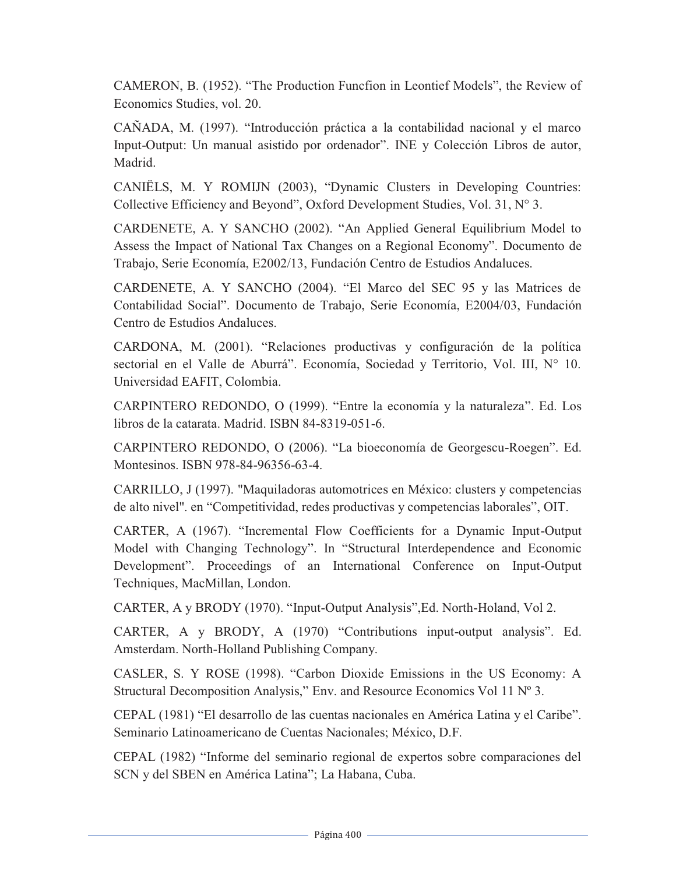CAMERON, B. (1952). "The Production Funcfion in Leontief Models", the Review of Economics Studies, vol. 20.

CAÑADA, M. (1997). "Introducción práctica a la contabilidad nacional y el marco Input-Output: Un manual asistido por ordenador". INE y Colección Libros de autor, Madrid.

CANIËLS, M. Y ROMIJN (2003), "Dynamic Clusters in Developing Countries: Collective Efficiency and Beyond", Oxford Development Studies, Vol. 31, N° 3.

CARDENETE, A. Y SANCHO (2002). "An Applied General Equilibrium Model to Assess the Impact of National Tax Changes on a Regional Economy". Documento de Trabajo, Serie Economía, E2002/13, Fundación Centro de Estudios Andaluces.

CARDENETE, A. Y SANCHO (2004). "El Marco del SEC 95 y las Matrices de Contabilidad Social". Documento de Trabajo, Serie Economía, E2004/03, Fundación Centro de Estudios Andaluces.

CARDONA, M. (2001). "Relaciones productivas y configuración de la política sectorial en el Valle de Aburrá". Economía, Sociedad y Territorio, Vol. III, Nº 10. Universidad EAFIT, Colombia.

CARPINTERO REDONDO, O (1999). "Entre la economía y la naturaleza". Ed. Los libros de la catarata. Madrid. ISBN 84-8319-051-6.

CARPINTERO REDONDO, O (2006). "La bioeconomía de Georgescu-Roegen". Ed. Montesinos. ISBN 978-84-96356-63-4.

CARRILLO, J (1997). "Maquiladoras automotrices en México: clusters y competencias de alto nivel". en "Competitividad, redes productivas y competencias laborales", OIT.

CARTER, A (1967). "Incremental Flow Coefficients for a Dynamic Input-Output Model with Changing Technology". In "Structural Interdependence and Economic Development". Proceedings of an International Conference on Input-Output Techniques, MacMillan, London.

CARTER, A y BRODY (1970). "Input-Output Analysis",Ed. North-Holand, Vol 2.

CARTER, A y BRODY, A (1970) "Contributions input-output analysis". Ed. Amsterdam. North-Holland Publishing Company.

CASLER, S. Y ROSE (1998). "Carbon Dioxide Emissions in the US Economy: A Structural Decomposition Analysis," Env. and Resource Economics Vol 11 Nº 3.

CEPAL (1981) "El desarrollo de las cuentas nacionales en América Latina y el Caribe". Seminario Latinoamericano de Cuentas Nacionales; México, D.F.

CEPAL (1982) "Informe del seminario regional de expertos sobre comparaciones del SCN y del SBEN en América Latina"; La Habana, Cuba.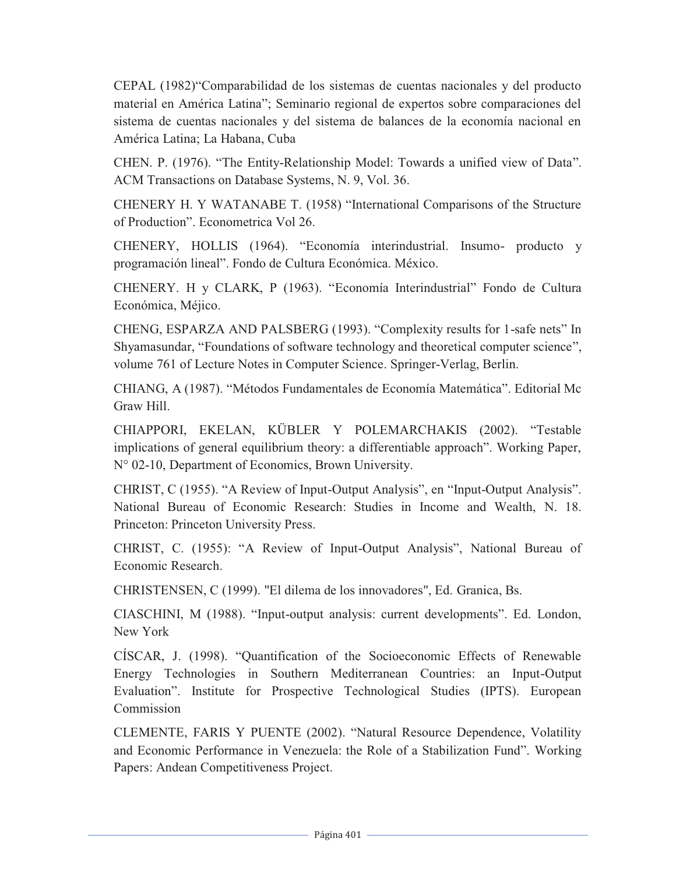CEPAL (1982)"Comparabilidad de los sistemas de cuentas nacionales y del producto material en América Latina"; Seminario regional de expertos sobre comparaciones del sistema de cuentas nacionales y del sistema de balances de la economía nacional en América Latina; La Habana, Cuba

CHEN. P. (1976). "The Entity-Relationship Model: Towards a unified view of Data". ACM Transactions on Database Systems, N. 9, Vol. 36.

CHENERY H. Y WATANABE T. (1958) "International Comparisons of the Structure of Production". Econometrica Vol 26.

CHENERY, HOLLIS (1964). "Economía interindustrial. Insumo- producto y programación lineal". Fondo de Cultura Económica. México.

CHENERY. H y CLARK, P (1963). "Economía Interindustrial" Fondo de Cultura Económica, Méjico.

CHENG, ESPARZA AND PALSBERG (1993). "Complexity results for 1-safe nets" In Shyamasundar, "Foundations of software technology and theoretical computer science", volume 761 of Lecture Notes in Computer Science. Springer-Verlag, Berlin.

CHIANG, A (1987). "Métodos Fundamentales de Economía Matemática". Editorial Mc Graw Hill.

CHIAPPORI, EKELAN, KÜBLER Y POLEMARCHAKIS (2002). "Testable implications of general equilibrium theory: a differentiable approach". Working Paper, N° 02-10, Department of Economics, Brown University.

CHRIST, C (1955). "A Review of Input-Output Analysis", en "Input-Output Analysis". National Bureau of Economic Research: Studies in Income and Wealth, N. 18. Princeton: Princeton University Press.

CHRIST, C. (1955): "A Review of Input-Output Analysis", National Bureau of Economic Research.

CHRISTENSEN, C (1999). "El dilema de los innovadores", Ed. Granica, Bs.

CIASCHINI, M (1988). "Input-output analysis: current developments". Ed. London, New York

CÍSCAR, J. (1998). "Quantification of the Socioeconomic Effects of Renewable Energy Technologies in Southern Mediterranean Countries: an Input-Output Evaluation". Institute for Prospective Technological Studies (IPTS). European Commission

CLEMENTE, FARIS Y PUENTE (2002). "Natural Resource Dependence, Volatility and Economic Performance in Venezuela: the Role of a Stabilization Fund". Working Papers: Andean Competitiveness Project.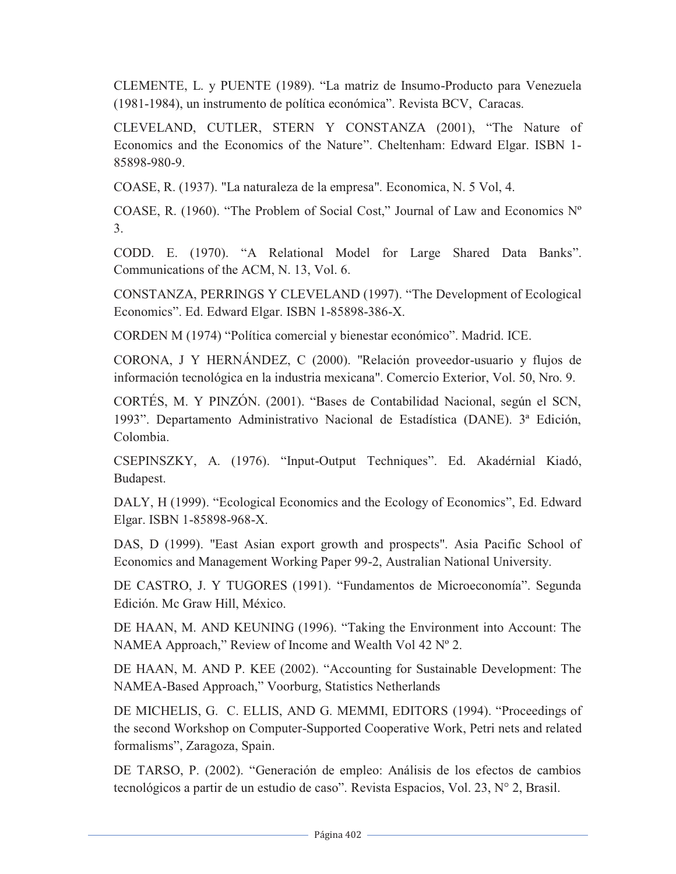CLEMENTE, L. y PUENTE (1989). "La matriz de Insumo-Producto para Venezuela (1981-1984), un instrumento de política económica". Revista BCV, Caracas.

CLEVELAND, CUTLER, STERN Y CONSTANZA (2001), "The Nature of Economics and the Economics of the Nature". Cheltenham: Edward Elgar. ISBN 1- 85898-980-9.

COASE, R. (1937). "La naturaleza de la empresa". Economica, N. 5 Vol, 4.

COASE, R. (1960). "The Problem of Social Cost," Journal of Law and Economics Nº 3.

CODD. E. (1970). "A Relational Model for Large Shared Data Banks". Communications of the ACM, N. 13, Vol. 6.

CONSTANZA, PERRINGS Y CLEVELAND (1997). "The Development of Ecological Economics". Ed. Edward Elgar. ISBN 1-85898-386-X.

CORDEN M (1974) "Política comercial y bienestar económico". Madrid. ICE.

CORONA, J Y HERNÁNDEZ, C (2000). "Relación proveedor-usuario y flujos de información tecnológica en la industria mexicana". Comercio Exterior, Vol. 50, Nro. 9.

CORTÉS, M. Y PINZÓN. (2001). "Bases de Contabilidad Nacional, según el SCN, 1993". Departamento Administrativo Nacional de Estadística (DANE). 3ª Edición, Colombia.

CSEPINSZKY, A. (1976). "Input-Output Techniques". Ed. Akadérnial Kiadó, Budapest.

DALY, H (1999). "Ecological Economics and the Ecology of Economics", Ed. Edward Elgar. ISBN 1-85898-968-X.

DAS, D (1999). "East Asian export growth and prospects". Asia Pacific School of Economics and Management Working Paper 99-2, Australian National University.

DE CASTRO, J. Y TUGORES (1991). "Fundamentos de Microeconomía". Segunda Edición. Mc Graw Hill, México.

DE HAAN, M. AND KEUNING (1996). "Taking the Environment into Account: The NAMEA Approach," Review of Income and Wealth Vol 42 Nº 2.

DE HAAN, M. AND P. KEE (2002). "Accounting for Sustainable Development: The NAMEA-Based Approach," Voorburg, Statistics Netherlands

DE MICHELIS, G. C. ELLIS, AND G. MEMMI, EDITORS (1994). "Proceedings of the second Workshop on Computer-Supported Cooperative Work, Petri nets and related formalisms", Zaragoza, Spain.

DE TARSO, P. (2002). "Generación de empleo: Análisis de los efectos de cambios tecnológicos a partir de un estudio de caso". Revista Espacios, Vol. 23, N° 2, Brasil.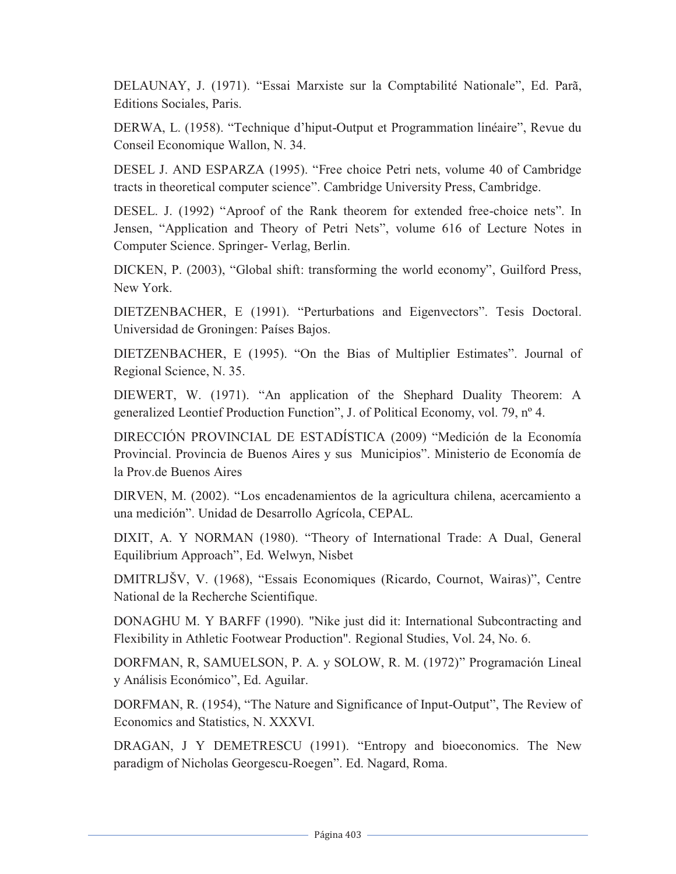DELAUNAY, J. (1971). "Essai Marxiste sur la Comptabilité Nationale", Ed. Parã, Editions Sociales, Paris.

DERWA, L. (1958). "Technique d'hiput-Output et Programmation linéaire", Revue du Conseil Economique Wallon, N. 34.

DESEL J. AND ESPARZA (1995). "Free choice Petri nets, volume 40 of Cambridge tracts in theoretical computer science". Cambridge University Press, Cambridge.

DESEL. J. (1992) "Aproof of the Rank theorem for extended free-choice nets". In Jensen, "Application and Theory of Petri Nets", volume 616 of Lecture Notes in Computer Science. Springer- Verlag, Berlin.

DICKEN, P. (2003), "Global shift: transforming the world economy", Guilford Press, New York.

DIETZENBACHER, E (1991). "Perturbations and Eigenvectors". Tesis Doctoral. Universidad de Groningen: Países Bajos.

DIETZENBACHER, E (1995). "On the Bias of Multiplier Estimates". Journal of Regional Science, N. 35.

DIEWERT, W. (1971). "An application of the Shephard Duality Theorem: A generalized Leontief Production Function", J. of Political Economy, vol. 79, nº 4.

DIRECCIÓN PROVINCIAL DE ESTADÍSTICA (2009) "Medición de la Economía Provincial. Provincia de Buenos Aires y sus Municipios". Ministerio de Economía de la Prov.de Buenos Aires

DIRVEN, M. (2002). "Los encadenamientos de la agricultura chilena, acercamiento a una medición". Unidad de Desarrollo Agrícola, CEPAL.

DIXIT, A. Y NORMAN (1980). "Theory of International Trade: A Dual, General Equilibrium Approach", Ed. Welwyn, Nisbet

DMITRLJŠV, V. (1968), "Essais Economiques (Ricardo, Cournot, Wairas)", Centre National de la Recherche Scientifique.

DONAGHU M. Y BARFF (1990). "Nike just did it: International Subcontracting and Flexibility in Athletic Footwear Production". Regional Studies, Vol. 24, No. 6.

DORFMAN, R, SAMUELSON, P. A. y SOLOW, R. M. (1972)" Programación Lineal y Análisis Económico", Ed. Aguilar.

DORFMAN, R. (1954), "The Nature and Significance of Input-Output", The Review of Economics and Statistics, N. XXXVI.

DRAGAN, J Y DEMETRESCU (1991). "Entropy and bioeconomics. The New paradigm of Nicholas Georgescu-Roegen". Ed. Nagard, Roma.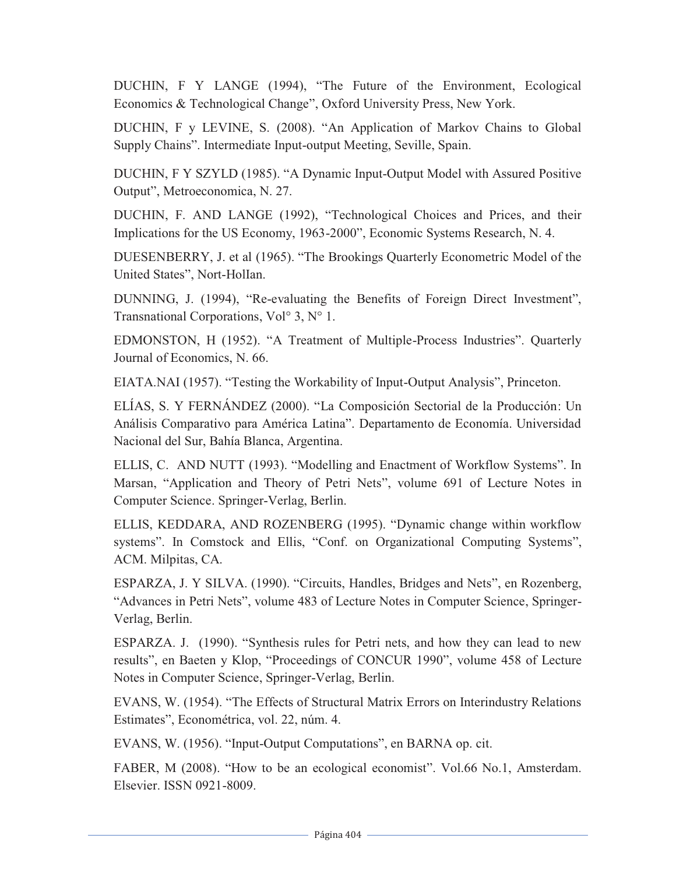DUCHIN, F Y LANGE (1994), "The Future of the Environment, Ecological Economics & Technological Change", Oxford University Press, New York.

DUCHIN, F y LEVINE, S. (2008). "An Application of Markov Chains to Global Supply Chains". Intermediate Input-output Meeting, Seville, Spain.

DUCHIN, F Y SZYLD (1985). "A Dynamic Input-Output Model with Assured Positive Output", Metroeconomica, N. 27.

DUCHIN, F. AND LANGE (1992), "Technological Choices and Prices, and their Implications for the US Economy, 1963-2000", Economic Systems Research, N. 4.

DUESENBERRY, J. et al (1965). "The Brookings Quarterly Econometric Model of the United States", Nort-HolIan.

DUNNING, J. (1994), "Re-evaluating the Benefits of Foreign Direct Investment", Transnational Corporations, Vol° 3, N° 1.

EDMONSTON, H (1952). "A Treatment of Multiple-Process Industries". Quarterly Journal of Economics, N. 66.

EIATA.NAI (1957). "Testing the Workability of Input-Output Analysis", Princeton.

ELÍAS, S. Y FERNÁNDEZ (2000). "La Composición Sectorial de la Producción: Un Análisis Comparativo para América Latina". Departamento de Economía. Universidad Nacional del Sur, Bahía Blanca, Argentina.

ELLIS, C. AND NUTT (1993). "Modelling and Enactment of Workflow Systems". In Marsan, "Application and Theory of Petri Nets", volume 691 of Lecture Notes in Computer Science. Springer-Verlag, Berlin.

ELLIS, KEDDARA, AND ROZENBERG (1995). "Dynamic change within workflow systems". In Comstock and Ellis, "Conf. on Organizational Computing Systems", ACM. Milpitas, CA.

ESPARZA, J. Y SILVA. (1990). "Circuits, Handles, Bridges and Nets", en Rozenberg, "Advances in Petri Nets", volume 483 of Lecture Notes in Computer Science, Springer-Verlag, Berlin.

ESPARZA. J. (1990). "Synthesis rules for Petri nets, and how they can lead to new results", en Baeten y Klop, "Proceedings of CONCUR 1990", volume 458 of Lecture Notes in Computer Science, Springer-Verlag, Berlin.

EVANS, W. (1954). "The Effects of Structural Matrix Errors on Interindustry Relations Estimates", Econométrica, vol. 22, núm. 4.

EVANS, W. (1956). "Input-Output Computations", en BARNA op. cit.

FABER, M (2008). "How to be an ecological economist". Vol.66 No.1, Amsterdam. Elsevier. ISSN 0921-8009.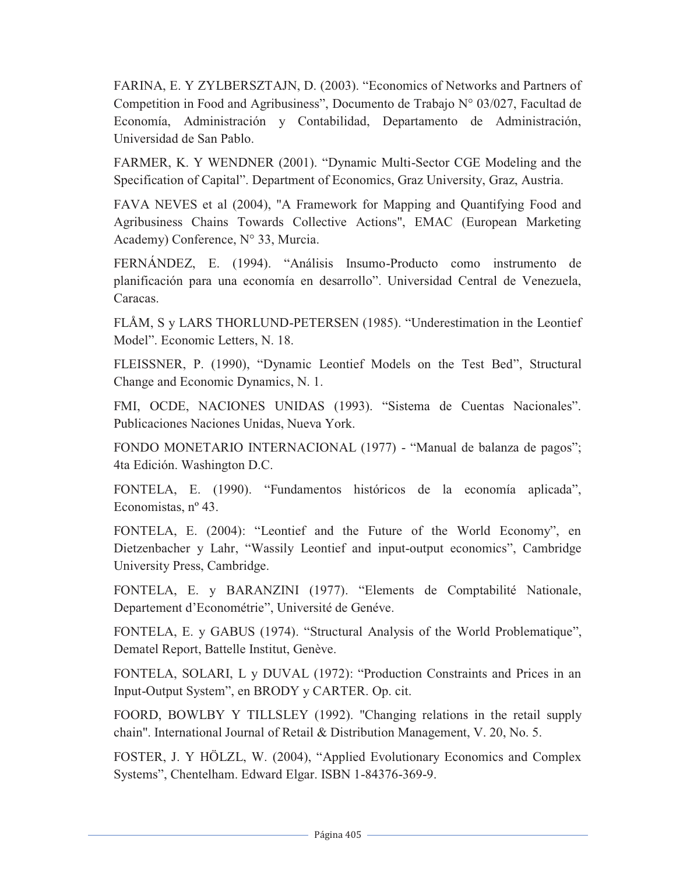FARINA, E. Y ZYLBERSZTAJN, D. (2003). "Economics of Networks and Partners of Competition in Food and Agribusiness", Documento de Trabajo N° 03/027, Facultad de Economía, Administración y Contabilidad, Departamento de Administración, Universidad de San Pablo.

FARMER, K. Y WENDNER (2001). "Dynamic Multi-Sector CGE Modeling and the Specification of Capital". Department of Economics, Graz University, Graz, Austria.

FAVA NEVES et al (2004), "A Framework for Mapping and Quantifying Food and Agribusiness Chains Towards Collective Actions", EMAC (European Marketing Academy) Conference, N° 33, Murcia.

FERNÁNDEZ, E. (1994). "Análisis Insumo-Producto como instrumento de planificación para una economía en desarrollo". Universidad Central de Venezuela, Caracas.

FLÅM, S y LARS THORLUND-PETERSEN (1985). "Underestimation in the Leontief Model". Economic Letters, N. 18.

FLEISSNER, P. (1990), "Dynamic Leontief Models on the Test Bed", Structural Change and Economic Dynamics, N. 1.

FMI, OCDE, NACIONES UNIDAS (1993). "Sistema de Cuentas Nacionales". Publicaciones Naciones Unidas, Nueva York.

FONDO MONETARIO INTERNACIONAL (1977) - "Manual de balanza de pagos"; 4ta Edición. Washington D.C.

FONTELA, E. (1990). "Fundamentos históricos de la economía aplicada", Economistas, nº 43.

FONTELA, E. (2004): "Leontief and the Future of the World Economy", en Dietzenbacher y Lahr, "Wassily Leontief and input-output economics", Cambridge University Press, Cambridge.

FONTELA, E. y BARANZINI (1977). "Elements de Comptabilité Nationale, Departement d'Econométrie", Université de Genéve.

FONTELA, E. y GABUS (1974). "Structural Analysis of the World Problematique", Dematel Report, Battelle Institut, Genève.

FONTELA, SOLARI, L y DUVAL (1972): "Production Constraints and Prices in an Input-Output System", en BRODY y CARTER. Op. cit.

FOORD, BOWLBY Y TILLSLEY (1992). "Changing relations in the retail supply chain". International Journal of Retail & Distribution Management, V. 20, No. 5.

FOSTER, J. Y HÖLZL, W. (2004), "Applied Evolutionary Economics and Complex Systems", Chentelham. Edward Elgar. ISBN 1-84376-369-9.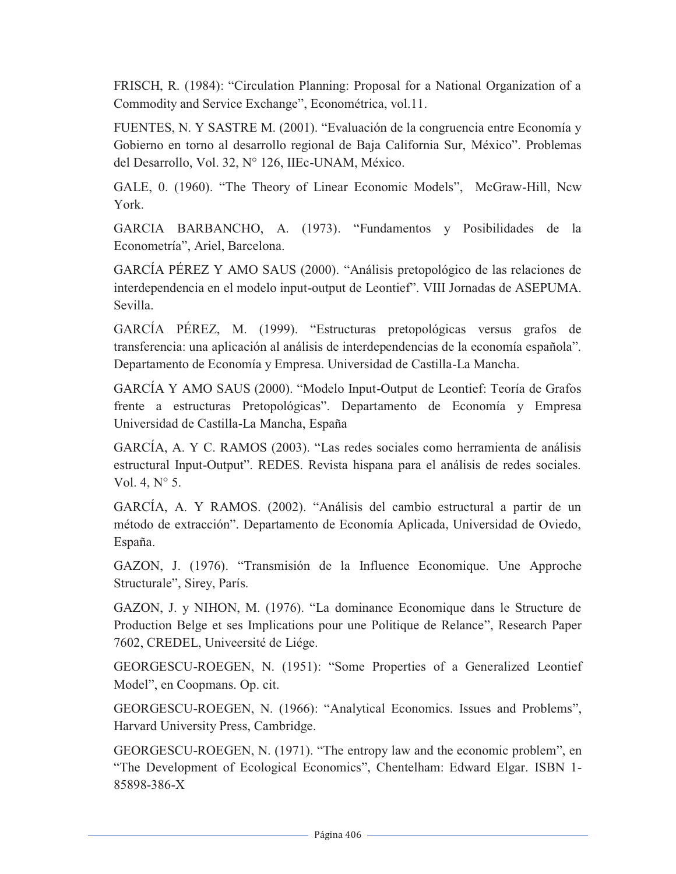FRISCH, R. (1984): "Circulation Planning: Proposal for a National Organization of a Commodity and Service Exchange", Econométrica, vol.11.

FUENTES, N. Y SASTRE M. (2001). "Evaluación de la congruencia entre Economía y Gobierno en torno al desarrollo regional de Baja California Sur, México". Problemas del Desarrollo, Vol. 32, N° 126, IIEc-UNAM, México.

GALE, 0. (1960). "The Theory of Linear Economic Models", McGraw-Hill, Ncw York.

GARCIA BARBANCHO, A. (1973). "Fundamentos y Posibilidades de la Econometría", Ariel, Barcelona.

GARCÍA PÉREZ Y AMO SAUS (2000). "Análisis pretopológico de las relaciones de interdependencia en el modelo input-output de Leontief". VIII Jornadas de ASEPUMA. Sevilla.

GARCÍA PÉREZ, M. (1999). "Estructuras pretopológicas versus grafos de transferencia: una aplicación al análisis de interdependencias de la economía española". Departamento de Economía y Empresa. Universidad de Castilla-La Mancha.

GARCÍA Y AMO SAUS (2000). "Modelo Input-Output de Leontief: Teoría de Grafos frente a estructuras Pretopológicas". Departamento de Economía y Empresa Universidad de Castilla-La Mancha, España

GARCÍA, A. Y C. RAMOS (2003). "Las redes sociales como herramienta de análisis estructural Input-Output". REDES. Revista hispana para el análisis de redes sociales. Vol. 4, N° 5.

GARCÍA, A. Y RAMOS. (2002). "Análisis del cambio estructural a partir de un método de extracción". Departamento de Economía Aplicada, Universidad de Oviedo, España.

GAZON, J. (1976). "Transmisión de la Influence Economique. Une Approche Structurale", Sirey, París.

GAZON, J. y NIHON, M. (1976). "La dominance Economique dans le Structure de Production Belge et ses Implications pour une Politique de Relance", Research Paper 7602, CREDEL, Univeersité de Liége.

GEORGESCU-ROEGEN, N. (1951): "Some Properties of a Generalized Leontief Model", en Coopmans. Op. cit.

GEORGESCU-ROEGEN, N. (1966): "Analytical Economics. Issues and Problems", Harvard University Press, Cambridge.

GEORGESCU-ROEGEN, N. (1971). "The entropy law and the economic problem", en "The Development of Ecological Economics", Chentelham: Edward Elgar. ISBN 1- 85898-386-X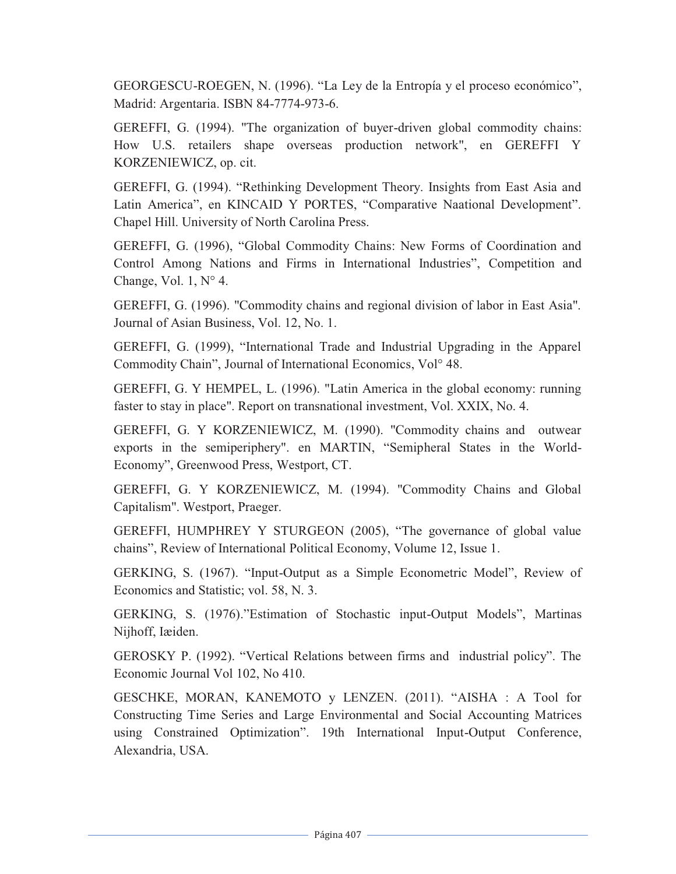GEORGESCU-ROEGEN, N. (1996). "La Ley de la Entropía y el proceso económico", Madrid: Argentaria. ISBN 84-7774-973-6.

GEREFFI, G. (1994). "The organization of buyer-driven global commodity chains: How U.S. retailers shape overseas production network", en GEREFFI Y KORZENIEWICZ, op. cit.

GEREFFI, G. (1994). "Rethinking Development Theory. Insights from East Asia and Latin America", en KINCAID Y PORTES, "Comparative Naational Development". Chapel Hill. University of North Carolina Press.

GEREFFI, G. (1996), "Global Commodity Chains: New Forms of Coordination and Control Among Nations and Firms in International Industries", Competition and Change, Vol. 1,  $N^{\circ}$  4.

GEREFFI, G. (1996). "Commodity chains and regional division of labor in East Asia". Journal of Asian Business, Vol. 12, No. 1.

GEREFFI, G. (1999), "International Trade and Industrial Upgrading in the Apparel Commodity Chain", Journal of International Economics, Vol° 48.

GEREFFI, G. Y HEMPEL, L. (1996). "Latin America in the global economy: running faster to stay in place". Report on transnational investment, Vol. XXIX, No. 4.

GEREFFI, G. Y KORZENIEWICZ, M. (1990). "Commodity chains and outwear exports in the semiperiphery". en MARTIN, "Semipheral States in the World-Economy", Greenwood Press, Westport, CT.

GEREFFI, G. Y KORZENIEWICZ, M. (1994). "Commodity Chains and Global Capitalism". Westport, Praeger.

GEREFFI, HUMPHREY Y STURGEON (2005), "The governance of global value chains", Review of International Political Economy, Volume 12, Issue 1.

GERKING, S. (1967). "Input-Output as a Simple Econometric Model", Review of Economics and Statistic; vol. 58, N. 3.

GERKING, S. (1976)."Estimation of Stochastic input-Output Models", Martinas Nijhoff, Iæiden.

GEROSKY P. (1992). "Vertical Relations between firms and industrial policy". The Economic Journal Vol 102, No 410.

GESCHKE, MORAN, KANEMOTO y LENZEN. (2011). "AISHA : A Tool for Constructing Time Series and Large Environmental and Social Accounting Matrices using Constrained Optimization". 19th International Input-Output Conference, Alexandria, USA.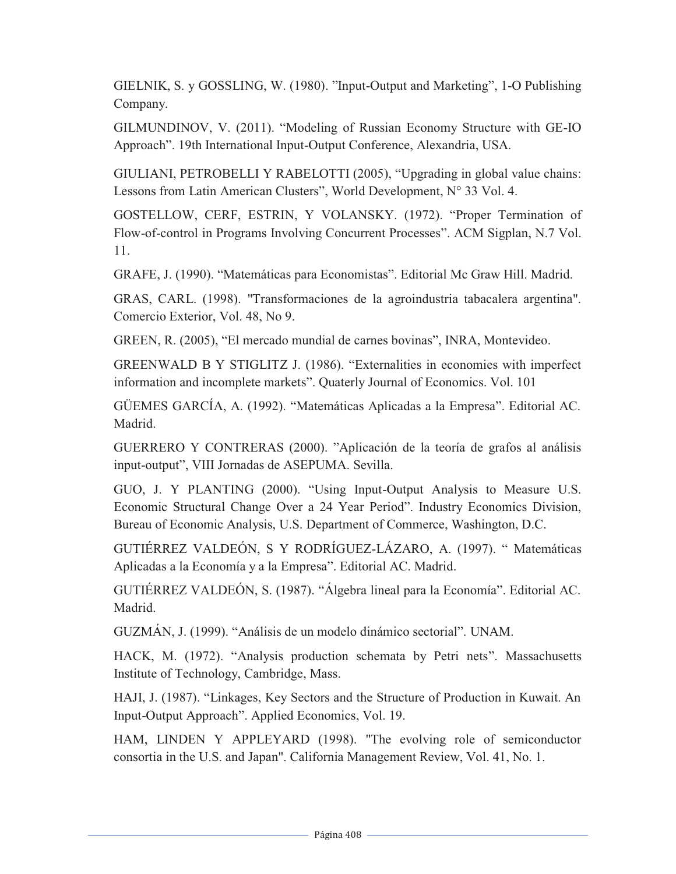GIELNIK, S. y GOSSLING, W. (1980). "Input-Output and Marketing", 1-O Publishing Company.

GILMUNDINOV, V. (2011). "Modeling of Russian Economy Structure with GE-IO Approach". 19th International Input-Output Conference, Alexandria, USA.

GIULIANI, PETROBELLI Y RABELOTTI (2005), "Upgrading in global value chains: Lessons from Latin American Clusters", World Development, N° 33 Vol. 4.

GOSTELLOW, CERF, ESTRIN, Y VOLANSKY. (1972). "Proper Termination of Flow-of-control in Programs Involving Concurrent Processes". ACM Sigplan, N.7 Vol. 11.

GRAFE, J. (1990). "Matemáticas para Economistas". Editorial Mc Graw Hill. Madrid.

GRAS, CARL. (1998). "Transformaciones de la agroindustria tabacalera argentina". Comercio Exterior, Vol. 48, No 9.

GREEN, R. (2005), "El mercado mundial de carnes bovinas", INRA, Montevideo.

GREENWALD B Y STIGLITZ J. (1986). "Externalities in economies with imperfect information and incomplete markets". Quaterly Journal of Economics. Vol. 101

GÜEMES GARCÍA, A. (1992). "Matemáticas Aplicadas a la Empresa". Editorial AC. Madrid.

GUERRERO Y CONTRERAS (2000). "Aplicación de la teoría de grafos al análisis input-output", VIII Jornadas de ASEPUMA. Sevilla.

GUO, J. Y PLANTING (2000). "Using Input-Output Analysis to Measure U.S. Economic Structural Change Over a 24 Year Period". Industry Economics Division, Bureau of Economic Analysis, U.S. Department of Commerce, Washington, D.C.

GUTIÉRREZ VALDEÓN, S Y RODRÍGUEZ-LÁZARO, A. (1997). " Matemáticas Aplicadas a la Economía y a la Empresa". Editorial AC. Madrid.

GUTIÉRREZ VALDEÓN, S. (1987). "Álgebra lineal para la Economía". Editorial AC. Madrid.

GUZMÁN, J. (1999). "Análisis de un modelo dinámico sectorial". UNAM.

HACK, M. (1972). "Analysis production schemata by Petri nets". Massachusetts Institute of Technology, Cambridge, Mass.

HAJI, J. (1987). "Linkages, Key Sectors and the Structure of Production in Kuwait. An Input-Output Approach". Applied Economics, Vol. 19.

HAM, LINDEN Y APPLEYARD (1998). "The evolving role of semiconductor consortia in the U.S. and Japan". California Management Review, Vol. 41, No. 1.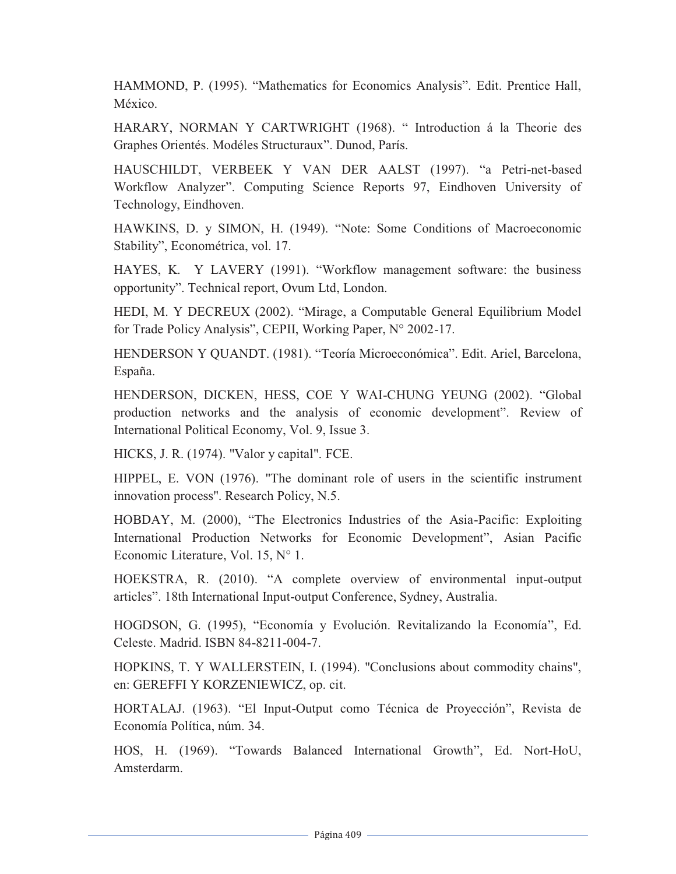HAMMOND, P. (1995). "Mathematics for Economics Analysis". Edit. Prentice Hall, México.

HARARY, NORMAN Y CARTWRIGHT (1968). " Introduction á la Theorie des Graphes Orientés. Modéles Structuraux". Dunod, París.

HAUSCHILDT, VERBEEK Y VAN DER AALST (1997). "a Petri-net-based Workflow Analyzer". Computing Science Reports 97, Eindhoven University of Technology, Eindhoven.

HAWKINS, D. y SIMON, H. (1949). "Note: Some Conditions of Macroeconomic Stability", Econométrica, vol. 17.

HAYES, K. Y LAVERY (1991). "Workflow management software: the business opportunity". Technical report, Ovum Ltd, London.

HEDI, M. Y DECREUX (2002). "Mirage, a Computable General Equilibrium Model for Trade Policy Analysis", CEPII, Working Paper, N° 2002-17.

HENDERSON Y QUANDT. (1981). "Teoría Microeconómica". Edit. Ariel, Barcelona, España.

HENDERSON, DICKEN, HESS, COE Y WAI-CHUNG YEUNG (2002). "Global production networks and the analysis of economic development". Review of International Political Economy, Vol. 9, Issue 3.

HICKS, J. R. (1974). "Valor y capital". FCE.

HIPPEL, E. VON (1976). "The dominant role of users in the scientific instrument innovation process". Research Policy, N.5.

HOBDAY, M. (2000), "The Electronics Industries of the Asia-Pacific: Exploiting International Production Networks for Economic Development", Asian Pacific Economic Literature, Vol. 15, N° 1.

HOEKSTRA, R. (2010). "A complete overview of environmental input-output articles". 18th International Input-output Conference, Sydney, Australia.

HOGDSON, G. (1995), "Economía y Evolución. Revitalizando la Economía", Ed. Celeste. Madrid. ISBN 84-8211-004-7.

HOPKINS, T. Y WALLERSTEIN, I. (1994). "Conclusions about commodity chains", en: GEREFFI Y KORZENIEWICZ, op. cit.

HORTALAJ. (1963). "El Input-Output como Técnica de Proyección", Revista de Economía Política, núm. 34.

HOS, H. (1969). "Towards Balanced International Growth", Ed. Nort-HoU, Amsterdarm.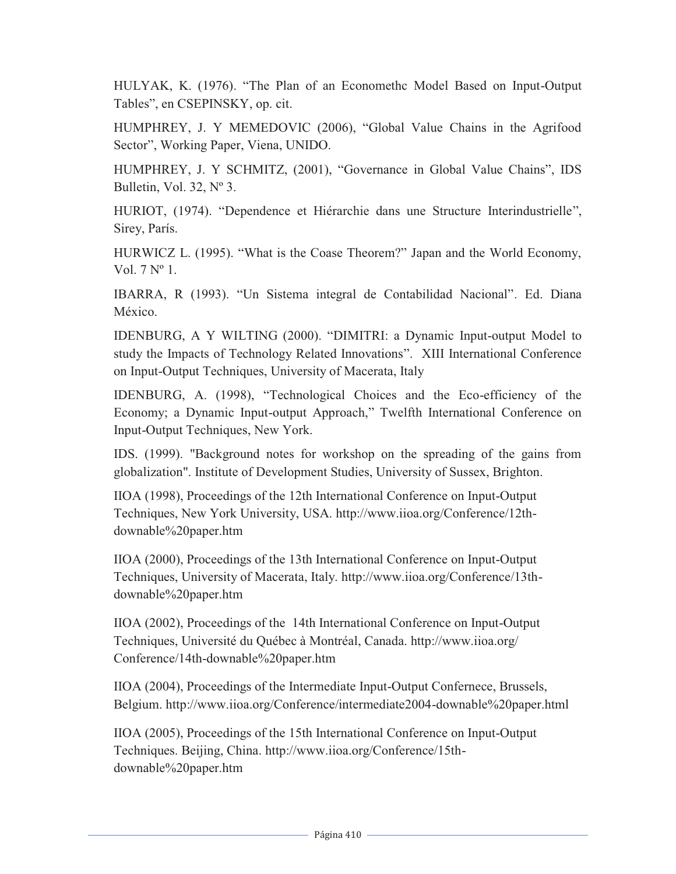HULYAK, K. (1976). "The Plan of an Economethc Model Based on Input-Output Tables", en CSEPINSKY, op. cit.

HUMPHREY, J. Y MEMEDOVIC (2006), "Global Value Chains in the Agrifood Sector", Working Paper, Viena, UNIDO.

HUMPHREY, J. Y SCHMITZ, (2001), "Governance in Global Value Chains", IDS Bulletin, Vol. 32, Nº 3.

HURIOT, (1974). "Dependence et Hiérarchie dans une Structure Interindustrielle", Sirey, París.

HURWICZ L. (1995). "What is the Coase Theorem?" Japan and the World Economy, Vol. 7 Nº 1.

IBARRA, R (1993). "Un Sistema integral de Contabilidad Nacional". Ed. Diana México.

IDENBURG, A Y WILTING (2000). "DIMITRI: a Dynamic Input-output Model to study the Impacts of Technology Related Innovations". XIII International Conference on Input-Output Techniques, University of Macerata, Italy

IDENBURG, A. (1998), "Technological Choices and the Eco-efficiency of the Economy; a Dynamic Input-output Approach," Twelfth International Conference on Input-Output Techniques, New York.

IDS. (1999). "Background notes for workshop on the spreading of the gains from globalization". Institute of Development Studies, University of Sussex, Brighton.

IIOA (1998), Proceedings of the 12th International Conference on Input-Output Techniques, New York University, USA. http://www.iioa.org/Conference/12thdownable%20paper.htm

IIOA (2000), Proceedings of the 13th International Conference on Input-Output Techniques, University of Macerata, Italy. http://www.iioa.org/Conference/13thdownable%20paper.htm

IIOA (2002), Proceedings of the 14th International Conference on Input-Output Techniques, Université du Québec à Montréal, Canada. http://www.iioa.org/ Conference/14th-downable%20paper.htm

IIOA (2004), Proceedings of the Intermediate Input-Output Confernece, Brussels, Belgium. http://www.iioa.org/Conference/intermediate2004-downable%20paper.html

IIOA (2005), Proceedings of the 15th International Conference on Input-Output Techniques. Beijing, China. http://www.iioa.org/Conference/15thdownable%20paper.htm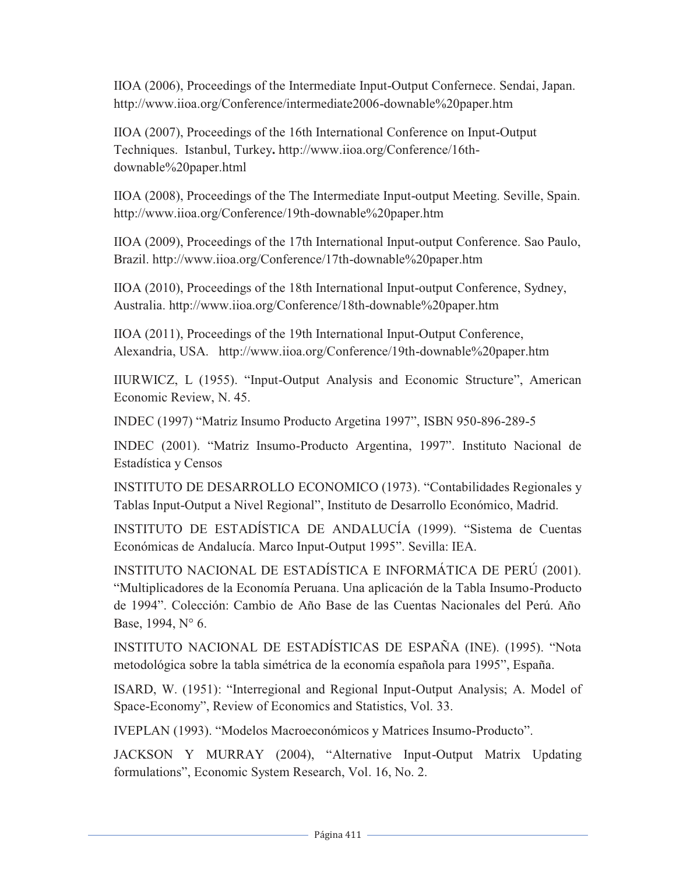IIOA (2006), Proceedings of the Intermediate Input-Output Confernece. Sendai, Japan. http://www.iioa.org/Conference/intermediate2006-downable%20paper.htm

IIOA (2007), Proceedings of the 16th International Conference on Input-Output Techniques. Istanbul, Turkey**.** http://www.iioa.org/Conference/16thdownable%20paper.html

IIOA (2008), Proceedings of the The Intermediate Input-output Meeting. Seville, Spain. http://www.iioa.org/Conference/19th-downable%20paper.htm

IIOA (2009), Proceedings of the 17th International Input-output Conference. Sao Paulo, Brazil. http://www.iioa.org/Conference/17th-downable%20paper.htm

IIOA (2010), Proceedings of the 18th International Input-output Conference, Sydney, Australia. http://www.iioa.org/Conference/18th-downable%20paper.htm

IIOA (2011), Proceedings of the 19th International Input-Output Conference, Alexandria, USA. http://www.iioa.org/Conference/19th-downable%20paper.htm

IIURWICZ, L (1955). "Input-Output Analysis and Economic Structure", American Economic Review, N. 45.

INDEC (1997) "Matriz Insumo Producto Argetina 1997", ISBN 950-896-289-5

INDEC (2001). "Matriz Insumo-Producto Argentina, 1997". Instituto Nacional de Estadística y Censos

INSTITUTO DE DESARROLLO ECONOMICO (1973). "Contabilidades Regionales y Tablas Input-Output a Nivel Regional", Instituto de Desarrollo Económico, Madrid.

INSTITUTO DE ESTADÍSTICA DE ANDALUCÍA (1999). "Sistema de Cuentas Económicas de Andalucía. Marco Input-Output 1995". Sevilla: IEA.

INSTITUTO NACIONAL DE ESTADÍSTICA E INFORMÁTICA DE PERÚ (2001). "Multiplicadores de la Economía Peruana. Una aplicación de la Tabla Insumo-Producto de 1994". Colección: Cambio de Año Base de las Cuentas Nacionales del Perú. Año Base, 1994, N° 6.

INSTITUTO NACIONAL DE ESTADÍSTICAS DE ESPAÑA (INE). (1995). "Nota metodológica sobre la tabla simétrica de la economía española para 1995", España.

ISARD, W. (1951): "Interregional and Regional Input-Output Analysis; A. Model of Space-Economy", Review of Economics and Statistics, Vol. 33.

IVEPLAN (1993). "Modelos Macroeconómicos y Matrices Insumo-Producto".

JACKSON Y MURRAY (2004), "Alternative Input-Output Matrix Updating formulations", Economic System Research, Vol. 16, No. 2.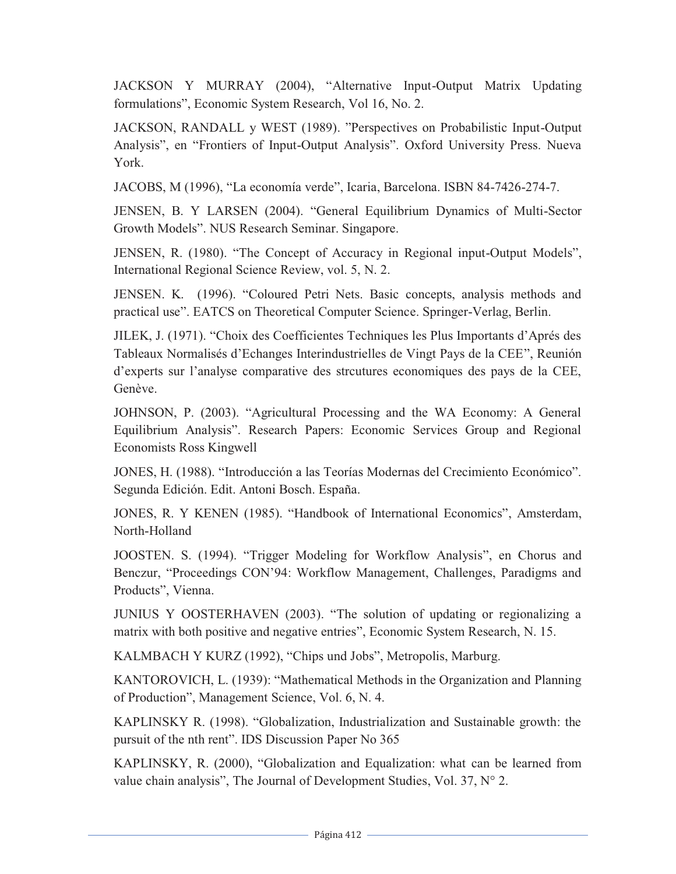JACKSON Y MURRAY (2004), "Alternative Input-Output Matrix Updating formulations", Economic System Research, Vol 16, No. 2.

JACKSON, RANDALL y WEST (1989). "Perspectives on Probabilistic Input-Output Analysis", en "Frontiers of Input-Output Analysis". Oxford University Press. Nueva York.

JACOBS, M (1996), "La economía verde", Icaria, Barcelona. ISBN 84-7426-274-7.

JENSEN, B. Y LARSEN (2004). "General Equilibrium Dynamics of Multi-Sector Growth Models". NUS Research Seminar. Singapore.

JENSEN, R. (1980). "The Concept of Accuracy in Regional input-Output Models", International Regional Science Review, vol. 5, N. 2.

JENSEN. K. (1996). "Coloured Petri Nets. Basic concepts, analysis methods and practical use". EATCS on Theoretical Computer Science. Springer-Verlag, Berlin.

JILEK, J. (1971). "Choix des Coefficientes Techniques les Plus Importants d'Aprés des Tableaux Normalisés d'Echanges Interindustrielles de Vingt Pays de la CEE", Reunión d'experts sur l'analyse comparative des strcutures economiques des pays de la CEE, Genève.

JOHNSON, P. (2003). "Agricultural Processing and the WA Economy: A General Equilibrium Analysis". Research Papers: Economic Services Group and Regional Economists Ross Kingwell

JONES, H. (1988). "Introducción a las Teorías Modernas del Crecimiento Económico". Segunda Edición. Edit. Antoni Bosch. España.

JONES, R. Y KENEN (1985). "Handbook of International Economics", Amsterdam, North-Holland

JOOSTEN. S. (1994). "Trigger Modeling for Workflow Analysis", en Chorus and Benczur, "Proceedings CON'94: Workflow Management, Challenges, Paradigms and Products", Vienna.

JUNIUS Y OOSTERHAVEN (2003). "The solution of updating or regionalizing a matrix with both positive and negative entries", Economic System Research, N. 15.

KALMBACH Y KURZ (1992), "Chips und Jobs", Metropolis, Marburg.

KANTOROVICH, L. (1939): "Mathematical Methods in the Organization and Planning of Production", Management Science, Vol. 6, N. 4.

KAPLINSKY R. (1998). "Globalization, Industrialization and Sustainable growth: the pursuit of the nth rent". IDS Discussion Paper No 365

KAPLINSKY, R. (2000), "Globalization and Equalization: what can be learned from value chain analysis", The Journal of Development Studies, Vol. 37, N° 2.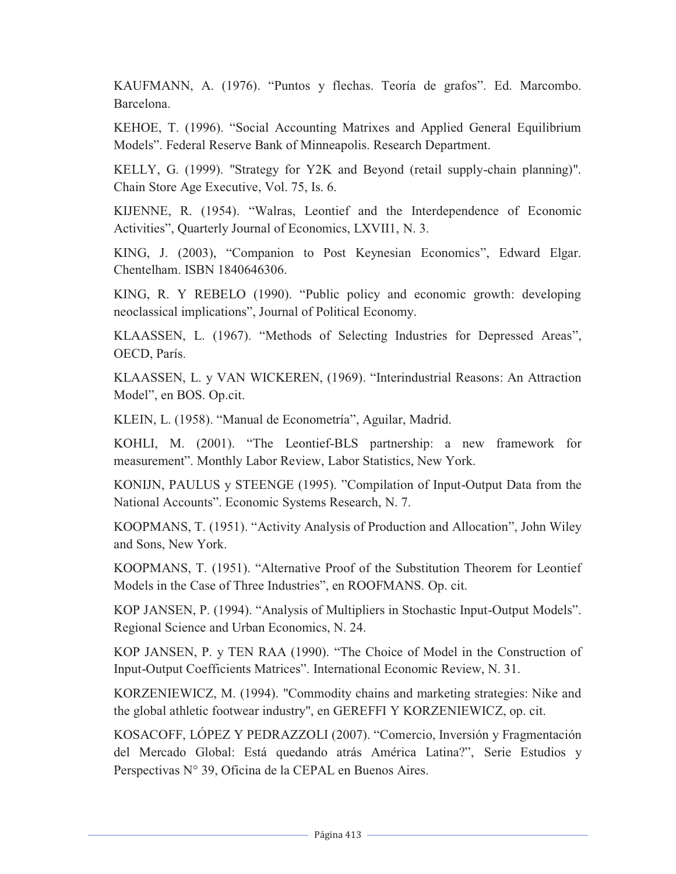KAUFMANN, A. (1976). "Puntos y flechas. Teoría de grafos". Ed. Marcombo. Barcelona.

KEHOE, T. (1996). "Social Accounting Matrixes and Applied General Equilibrium Models". Federal Reserve Bank of Minneapolis. Research Department.

KELLY, G. (1999). "Strategy for Y2K and Beyond (retail supply-chain planning)". Chain Store Age Executive, Vol. 75, Is. 6.

KIJENNE, R. (1954). "Walras, Leontief and the Interdependence of Economic Activities", Quarterly Journal of Economics, LXVII1, N. 3.

KING, J. (2003), "Companion to Post Keynesian Economics", Edward Elgar. Chentelham. ISBN 1840646306.

KING, R. Y REBELO (1990). "Public policy and economic growth: developing neoclassical implications", Journal of Political Economy.

KLAASSEN, L. (1967). "Methods of Selecting Industries for Depressed Areas", OECD, París.

KLAASSEN, L. y VAN WICKEREN, (1969). "Interindustrial Reasons: An Attraction Model", en BOS. Op.cit.

KLEIN, L. (1958). "Manual de Econometría", Aguilar, Madrid.

KOHLI, M. (2001). "The Leontief-BLS partnership: a new framework for measurement". Monthly Labor Review, Labor Statistics, New York.

KONIJN, PAULUS y STEENGE (1995). "Compilation of Input-Output Data from the National Accounts". Economic Systems Research, N. 7.

KOOPMANS, T. (1951). "Activity Analysis of Production and Allocation", John Wiley and Sons, New York.

KOOPMANS, T. (1951). "Alternative Proof of the Substitution Theorem for Leontief Models in the Case of Three Industries", en ROOFMANS. Op. cit.

KOP JANSEN, P. (1994). "Analysis of Multipliers in Stochastic Input-Output Models". Regional Science and Urban Economics, N. 24.

KOP JANSEN, P. y TEN RAA (1990). "The Choice of Model in the Construction of Input-Output Coefficients Matrices". International Economic Review, N. 31.

KORZENIEWICZ, M. (1994). "Commodity chains and marketing strategies: Nike and the global athletic footwear industry", en GEREFFI Y KORZENIEWICZ, op. cit.

KOSACOFF, LÓPEZ Y PEDRAZZOLI (2007). "Comercio, Inversión y Fragmentación del Mercado Global: Está quedando atrás América Latina?", Serie Estudios y Perspectivas N° 39, Oficina de la CEPAL en Buenos Aires.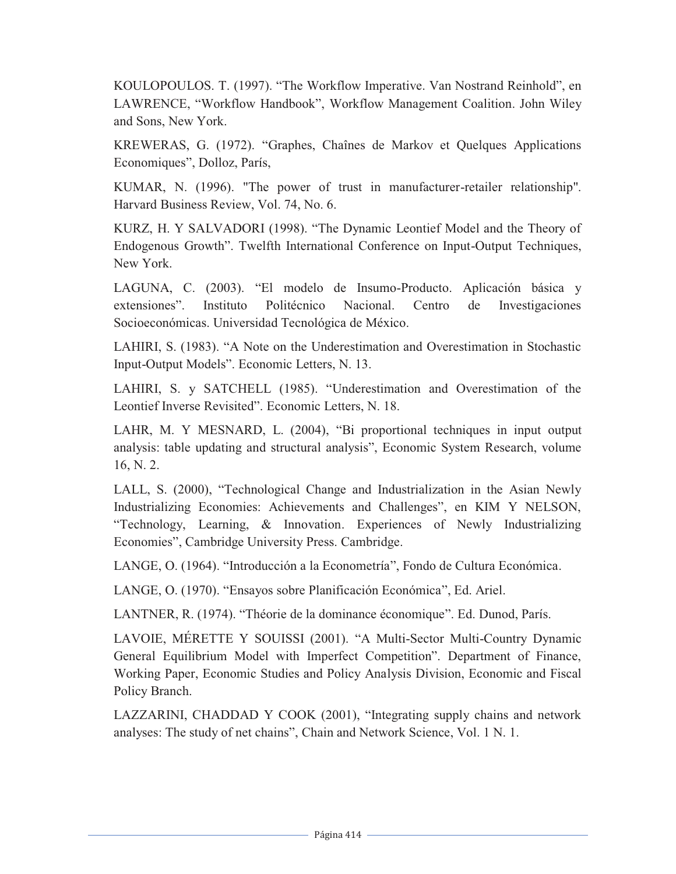KOULOPOULOS. T. (1997). "The Workflow Imperative. Van Nostrand Reinhold", en LAWRENCE, "Workflow Handbook", Workflow Management Coalition. John Wiley and Sons, New York.

KREWERAS, G. (1972). "Graphes, Chaînes de Markov et Quelques Applications Economiques", Dolloz, París,

KUMAR, N. (1996). "The power of trust in manufacturer-retailer relationship". Harvard Business Review, Vol. 74, No. 6.

KURZ, H. Y SALVADORI (1998). "The Dynamic Leontief Model and the Theory of Endogenous Growth". Twelfth International Conference on Input-Output Techniques, New York.

LAGUNA, C. (2003). "El modelo de Insumo-Producto. Aplicación básica y extensiones". Instituto Politécnico Nacional. Centro de Investigaciones Socioeconómicas. Universidad Tecnológica de México.

LAHIRI, S. (1983). "A Note on the Underestimation and Overestimation in Stochastic Input-Output Models". Economic Letters, N. 13.

LAHIRI, S. y SATCHELL (1985). "Underestimation and Overestimation of the Leontief Inverse Revisited". Economic Letters, N. 18.

LAHR, M. Y MESNARD, L. (2004), "Bi proportional techniques in input output analysis: table updating and structural analysis", Economic System Research, volume 16, N. 2.

LALL, S. (2000), "Technological Change and Industrialization in the Asian Newly Industrializing Economies: Achievements and Challenges", en KIM Y NELSON, "Technology, Learning, & Innovation. Experiences of Newly Industrializing Economies", Cambridge University Press. Cambridge.

LANGE, O. (1964). "Introducción a la Econometría", Fondo de Cultura Económica.

LANGE, O. (1970). "Ensayos sobre Planificación Económica", Ed. Ariel.

LANTNER, R. (1974). "Théorie de la dominance économique". Ed. Dunod, París.

LAVOIE, MÉRETTE Y SOUISSI (2001). "A Multi-Sector Multi-Country Dynamic General Equilibrium Model with Imperfect Competition". Department of Finance, Working Paper, Economic Studies and Policy Analysis Division, Economic and Fiscal Policy Branch.

LAZZARINI, CHADDAD Y COOK (2001), "Integrating supply chains and network analyses: The study of net chains", Chain and Network Science, Vol. 1 N. 1.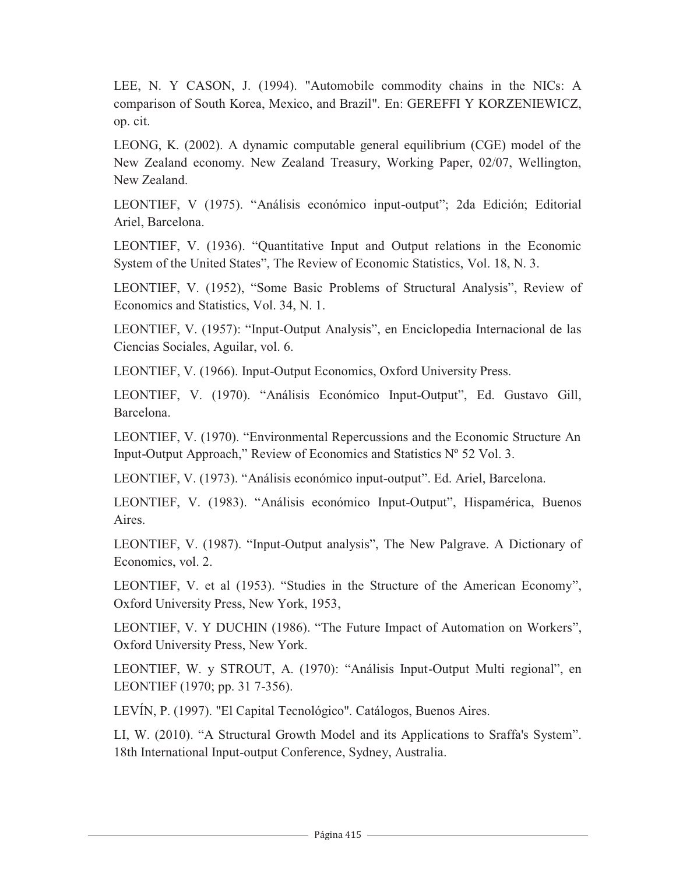LEE, N. Y CASON, J. (1994). "Automobile commodity chains in the NICs: A comparison of South Korea, Mexico, and Brazil". En: GEREFFI Y KORZENIEWICZ, op. cit.

LEONG, K. (2002). A dynamic computable general equilibrium (CGE) model of the New Zealand economy. New Zealand Treasury, Working Paper, 02/07, Wellington, New Zealand.

LEONTIEF, V (1975). "Análisis económico input-output"; 2da Edición; Editorial Ariel, Barcelona.

LEONTIEF, V. (1936). "Quantitative Input and Output relations in the Economic System of the United States", The Review of Economic Statistics, Vol. 18, N. 3.

LEONTIEF, V. (1952), "Some Basic Problems of Structural Analysis", Review of Economics and Statistics, Vol. 34, N. 1.

LEONTIEF, V. (1957): "Input-Output Analysis", en Enciclopedia Internacional de las Ciencias Sociales, Aguilar, vol. 6.

LEONTIEF, V. (1966). Input-Output Economics, Oxford University Press.

LEONTIEF, V. (1970). "Análisis Económico Input-Output", Ed. Gustavo Gill, Barcelona.

LEONTIEF, V. (1970). "Environmental Repercussions and the Economic Structure An Input-Output Approach," Review of Economics and Statistics Nº 52 Vol. 3.

LEONTIEF, V. (1973). "Análisis económico input-output". Ed. Ariel, Barcelona.

LEONTIEF, V. (1983). "Análisis económico Input-Output", Hispamérica, Buenos Aires.

LEONTIEF, V. (1987). "Input-Output analysis", The New Palgrave. A Dictionary of Economics, vol. 2.

LEONTIEF, V. et al (1953). "Studies in the Structure of the American Economy", Oxford University Press, New York, 1953,

LEONTIEF, V. Y DUCHIN (1986). "The Future Impact of Automation on Workers", Oxford University Press, New York.

LEONTIEF, W. y STROUT, A. (1970): "Análisis Input-Output Multi regional", en LEONTIEF (1970; pp. 31 7-356).

LEVÍN, P. (1997). "El Capital Tecnológico". Catálogos, Buenos Aires.

LI, W. (2010). "A Structural Growth Model and its Applications to Sraffa's System". 18th International Input-output Conference, Sydney, Australia.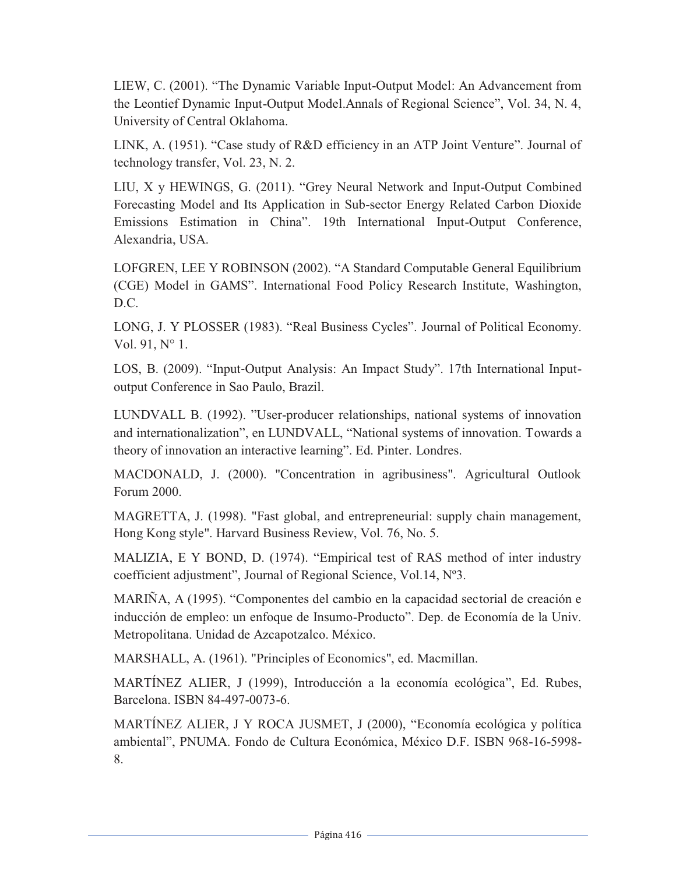LIEW, C. (2001). "The Dynamic Variable Input-Output Model: An Advancement from the Leontief Dynamic Input-Output Model.Annals of Regional Science", Vol. 34, N. 4, University of Central Oklahoma.

LINK, A. (1951). "Case study of R&D efficiency in an ATP Joint Venture". Journal of technology transfer, Vol. 23, N. 2.

LIU, X y HEWINGS, G. (2011). "Grey Neural Network and Input-Output Combined Forecasting Model and Its Application in Sub-sector Energy Related Carbon Dioxide Emissions Estimation in China". 19th International Input-Output Conference, Alexandria, USA.

LOFGREN, LEE Y ROBINSON (2002). "A Standard Computable General Equilibrium (CGE) Model in GAMS". International Food Policy Research Institute, Washington, D.C.

LONG, J. Y PLOSSER (1983). "Real Business Cycles". Journal of Political Economy. Vol. 91, N° 1.

LOS, B. (2009). "Input-Output Analysis: An Impact Study". 17th International Inputoutput Conference in Sao Paulo, Brazil.

LUNDVALL B. (1992). "User-producer relationships, national systems of innovation and internationalization", en LUNDVALL, "National systems of innovation. Towards a theory of innovation an interactive learning". Ed. Pinter. Londres.

MACDONALD, J. (2000). "Concentration in agribusiness". Agricultural Outlook Forum 2000.

MAGRETTA, J. (1998). "Fast global, and entrepreneurial: supply chain management, Hong Kong style". Harvard Business Review, Vol. 76, No. 5.

MALIZIA, E Y BOND, D. (1974). "Empirical test of RAS method of inter industry coefficient adjustment", Journal of Regional Science, Vol.14, Nº3.

MARIÑA, A (1995). "Componentes del cambio en la capacidad sectorial de creación e inducción de empleo: un enfoque de Insumo-Producto". Dep. de Economía de la Univ. Metropolitana. Unidad de Azcapotzalco. México.

MARSHALL, A. (1961). "Principles of Economics", ed. Macmillan.

MARTÍNEZ ALIER, J (1999), Introducción a la economía ecológica", Ed. Rubes, Barcelona. ISBN 84-497-0073-6.

MARTÍNEZ ALIER, J Y ROCA JUSMET, J (2000), "Economía ecológica y política ambiental", PNUMA. Fondo de Cultura Económica, México D.F. ISBN 968-16-5998- 8.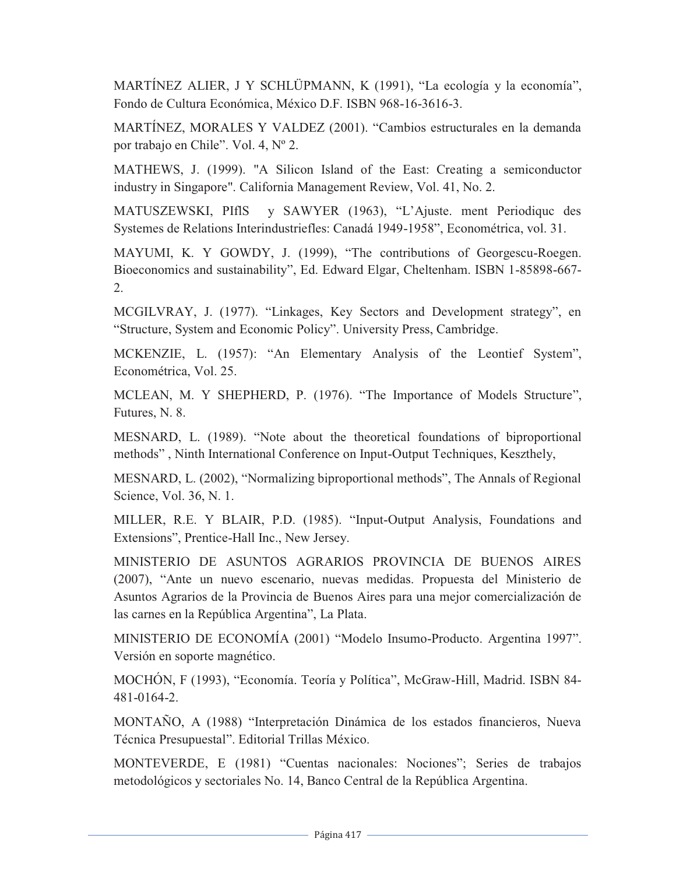MARTÍNEZ ALIER, J Y SCHLÜPMANN, K (1991), "La ecología y la economía", Fondo de Cultura Económica, México D.F. ISBN 968-16-3616-3.

MARTÍNEZ, MORALES Y VALDEZ (2001). "Cambios estructurales en la demanda por trabajo en Chile". Vol. 4, Nº 2.

MATHEWS, J. (1999). "A Silicon Island of the East: Creating a semiconductor industry in Singapore". California Management Review, Vol. 41, No. 2.

MATUSZEWSKI, PIflS y SAWYER (1963), "L'Ajuste. ment Periodiquc des Systemes de Relations Interindustriefles: Canadá 1949-1958", Econométrica, vol. 31.

MAYUMI, K. Y GOWDY, J. (1999), "The contributions of Georgescu-Roegen. Bioeconomics and sustainability", Ed. Edward Elgar, Cheltenham. ISBN 1-85898-667- 2.

MCGILVRAY, J. (1977). "Linkages, Key Sectors and Development strategy", en "Structure, System and Economic Policy". University Press, Cambridge.

MCKENZIE, L. (1957): "An Elementary Analysis of the Leontief System", Econométrica, Vol. 25.

MCLEAN, M. Y SHEPHERD, P. (1976). "The Importance of Models Structure", Futures, N. 8.

MESNARD, L. (1989). "Note about the theoretical foundations of biproportional methods" , Ninth International Conference on Input-Output Techniques, Keszthely,

MESNARD, L. (2002), "Normalizing biproportional methods", The Annals of Regional Science, Vol. 36, N. 1.

MILLER, R.E. Y BLAIR, P.D. (1985). "Input-Output Analysis, Foundations and Extensions", Prentice-Hall Inc., New Jersey.

MINISTERIO DE ASUNTOS AGRARIOS PROVINCIA DE BUENOS AIRES (2007), "Ante un nuevo escenario, nuevas medidas. Propuesta del Ministerio de Asuntos Agrarios de la Provincia de Buenos Aires para una mejor comercialización de las carnes en la República Argentina", La Plata.

MINISTERIO DE ECONOMÍA (2001) "Modelo Insumo-Producto. Argentina 1997". Versión en soporte magnético.

MOCHÓN, F (1993), "Economía. Teoría y Política", McGraw-Hill, Madrid. ISBN 84- 481-0164-2.

MONTAÑO, A (1988) "Interpretación Dinámica de los estados financieros, Nueva Técnica Presupuestal". Editorial Trillas México.

MONTEVERDE, E (1981) "Cuentas nacionales: Nociones"; Series de trabajos metodológicos y sectoriales No. 14, Banco Central de la República Argentina.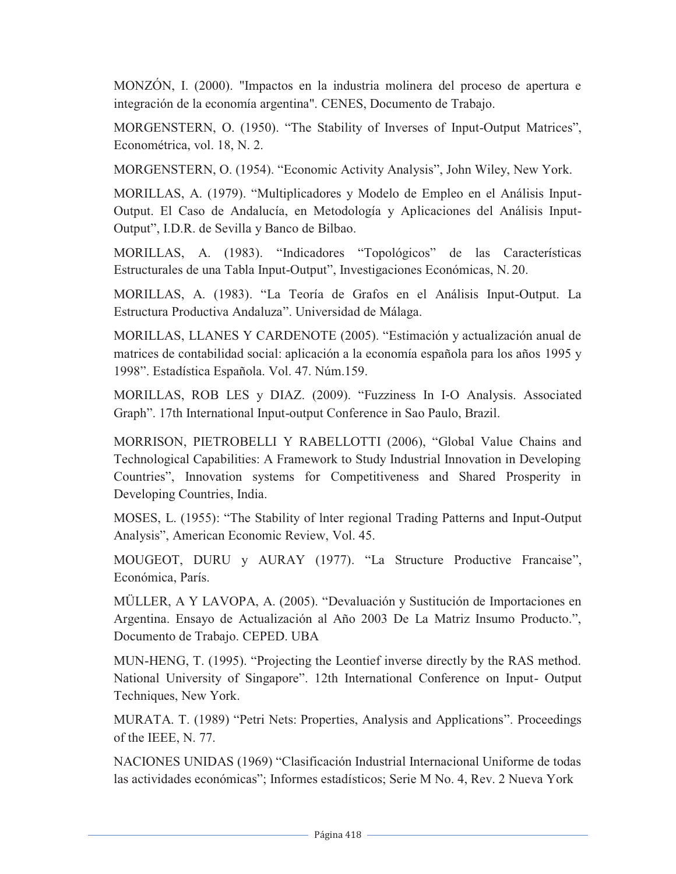MONZÓN, I. (2000). "Impactos en la industria molinera del proceso de apertura e integración de la economía argentina". CENES, Documento de Trabajo.

MORGENSTERN, O. (1950). "The Stability of Inverses of Input-Output Matrices", Econométrica, vol. 18, N. 2.

MORGENSTERN, O. (1954). "Economic Activity Analysis", John Wiley, New York.

MORILLAS, A. (1979). "Multiplicadores y Modelo de Empleo en el Análisis Input-Output. El Caso de Andalucía, en Metodología y Aplicaciones del Análisis Input-Output", I.D.R. de Sevilla y Banco de Bilbao.

MORILLAS, A. (1983). "Indicadores "Topológicos" de las Características Estructurales de una Tabla Input-Output", Investigaciones Económicas, N. 20.

MORILLAS, A. (1983). "La Teoría de Grafos en el Análisis Input-Output. La Estructura Productiva Andaluza". Universidad de Málaga.

MORILLAS, LLANES Y CARDENOTE (2005). "Estimación y actualización anual de matrices de contabilidad social: aplicación a la economía española para los años 1995 y 1998". Estadística Española. Vol. 47. Núm.159.

MORILLAS, ROB LES y DIAZ. (2009). "Fuzziness In I-O Analysis. Associated Graph". 17th International Input-output Conference in Sao Paulo, Brazil.

MORRISON, PIETROBELLI Y RABELLOTTI (2006), "Global Value Chains and Technological Capabilities: A Framework to Study Industrial Innovation in Developing Countries", Innovation systems for Competitiveness and Shared Prosperity in Developing Countries, India.

MOSES, L. (1955): "The Stability of lnter regional Trading Patterns and Input-Output Analysis", American Economic Review, Vol. 45.

MOUGEOT, DURU y AURAY (1977). "La Structure Productive Francaise", Económica, París.

MÜLLER, A Y LAVOPA, A. (2005). "Devaluación y Sustitución de Importaciones en Argentina. Ensayo de Actualización al Año 2003 De La Matriz Insumo Producto.", Documento de Trabajo. CEPED. UBA

MUN-HENG, T. (1995). "Projecting the Leontief inverse directly by the RAS method. National University of Singapore". 12th International Conference on Input- Output Techniques, New York.

MURATA. T. (1989) "Petri Nets: Properties, Analysis and Applications". Proceedings of the IEEE, N. 77.

NACIONES UNIDAS (1969) "Clasificación Industrial Internacional Uniforme de todas las actividades económicas"; Informes estadísticos; Serie M No. 4, Rev. 2 Nueva York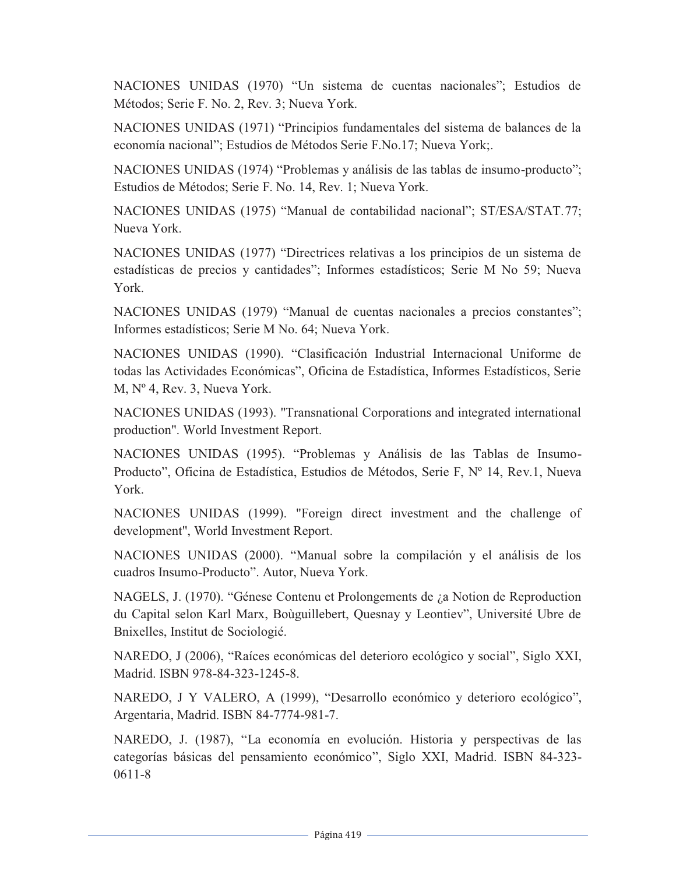NACIONES UNIDAS (1970) "Un sistema de cuentas nacionales"; Estudios de Métodos; Serie F. No. 2, Rev. 3; Nueva York.

NACIONES UNIDAS (1971) "Principios fundamentales del sistema de balances de la economía nacional"; Estudios de Métodos Serie F.No.17; Nueva York;.

NACIONES UNIDAS (1974) "Problemas y análisis de las tablas de insumo-producto"; Estudios de Métodos; Serie F. No. 14, Rev. 1; Nueva York.

NACIONES UNIDAS (1975) "Manual de contabilidad nacional"; ST/ESA/STAT.77; Nueva York.

NACIONES UNIDAS (1977) "Directrices relativas a los principios de un sistema de estadísticas de precios y cantidades"; Informes estadísticos; Serie M No 59; Nueva York.

NACIONES UNIDAS (1979) "Manual de cuentas nacionales a precios constantes"; Informes estadísticos; Serie M No. 64; Nueva York.

NACIONES UNIDAS (1990). "Clasificación Industrial Internacional Uniforme de todas las Actividades Económicas", Oficina de Estadística, Informes Estadísticos, Serie M, Nº 4, Rev. 3, Nueva York.

NACIONES UNIDAS (1993). "Transnational Corporations and integrated international production". World Investment Report.

NACIONES UNIDAS (1995). "Problemas y Análisis de las Tablas de Insumo-Producto", Oficina de Estadística, Estudios de Métodos, Serie F, Nº 14, Rev.1, Nueva York.

NACIONES UNIDAS (1999). "Foreign direct investment and the challenge of development", World Investment Report.

NACIONES UNIDAS (2000). "Manual sobre la compilación y el análisis de los cuadros Insumo-Producto". Autor, Nueva York.

NAGELS, J. (1970). "Génese Contenu et Prolongements de ¿a Notion de Reproduction du Capital selon Karl Marx, Boùguillebert, Quesnay y Leontiev", Université Ubre de Bnixelles, Institut de Sociologié.

NAREDO, J (2006), "Raíces económicas del deterioro ecológico y social", Siglo XXI, Madrid. ISBN 978-84-323-1245-8.

NAREDO, J Y VALERO, A (1999), "Desarrollo económico y deterioro ecológico", Argentaria, Madrid. ISBN 84-7774-981-7.

NAREDO, J. (1987), "La economía en evolución. Historia y perspectivas de las categorías básicas del pensamiento económico", Siglo XXI, Madrid. ISBN 84-323- 0611-8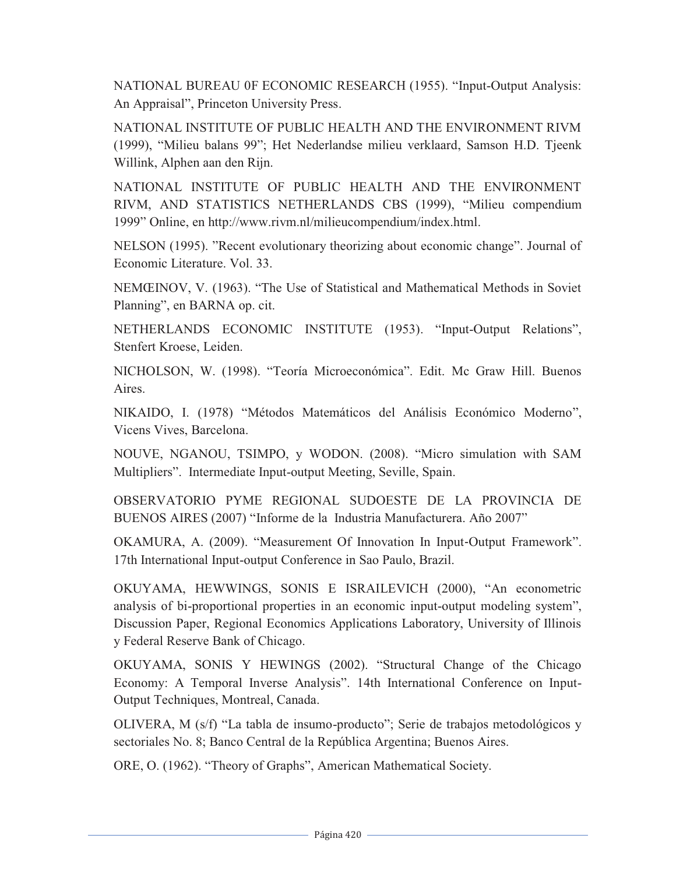NATIONAL BUREAU 0F ECONOMIC RESEARCH (1955). "Input-Output Analysis: An Appraisal", Princeton University Press.

NATIONAL INSTITUTE OF PUBLIC HEALTH AND THE ENVIRONMENT RIVM (1999), "Milieu balans 99"; Het Nederlandse milieu verklaard, Samson H.D. Tjeenk Willink, Alphen aan den Rijn.

NATIONAL INSTITUTE OF PUBLIC HEALTH AND THE ENVIRONMENT RIVM, AND STATISTICS NETHERLANDS CBS (1999), "Milieu compendium 1999" Online, en http://www.rivm.nl/milieucompendium/index.html.

NELSON (1995). "Recent evolutionary theorizing about economic change". Journal of Economic Literature. Vol. 33.

NEMŒINOV, V. (1963). "The Use of Statistical and Mathematical Methods in Soviet Planning", en BARNA op. cit.

NETHERLANDS ECONOMIC INSTITUTE (1953). "Input-Output Relations", Stenfert Kroese, Leiden.

NICHOLSON, W. (1998). "Teoría Microeconómica". Edit. Mc Graw Hill. Buenos Aires.

NIKAIDO, I. (1978) "Métodos Matemáticos del Análisis Económico Moderno", Vicens Vives, Barcelona.

NOUVE, NGANOU, TSIMPO, y WODON. (2008). "Micro simulation with SAM Multipliers". Intermediate Input-output Meeting, Seville, Spain.

OBSERVATORIO PYME REGIONAL SUDOESTE DE LA PROVINCIA DE BUENOS AIRES (2007) "Informe de la Industria Manufacturera. Año 2007"

OKAMURA, A. (2009). "Measurement Of Innovation In Input-Output Framework". 17th International Input-output Conference in Sao Paulo, Brazil.

OKUYAMA, HEWWINGS, SONIS E ISRAILEVICH (2000), "An econometric analysis of bi-proportional properties in an economic input-output modeling system", Discussion Paper, Regional Economics Applications Laboratory, University of Illinois y Federal Reserve Bank of Chicago.

OKUYAMA, SONIS Y HEWINGS (2002). "Structural Change of the Chicago Economy: A Temporal Inverse Analysis". 14th International Conference on Input-Output Techniques, Montreal, Canada.

OLIVERA, M (s/f) "La tabla de insumo-producto"; Serie de trabajos metodológicos y sectoriales No. 8; Banco Central de la República Argentina; Buenos Aires.

ORE, O. (1962). "Theory of Graphs", American Mathematical Society.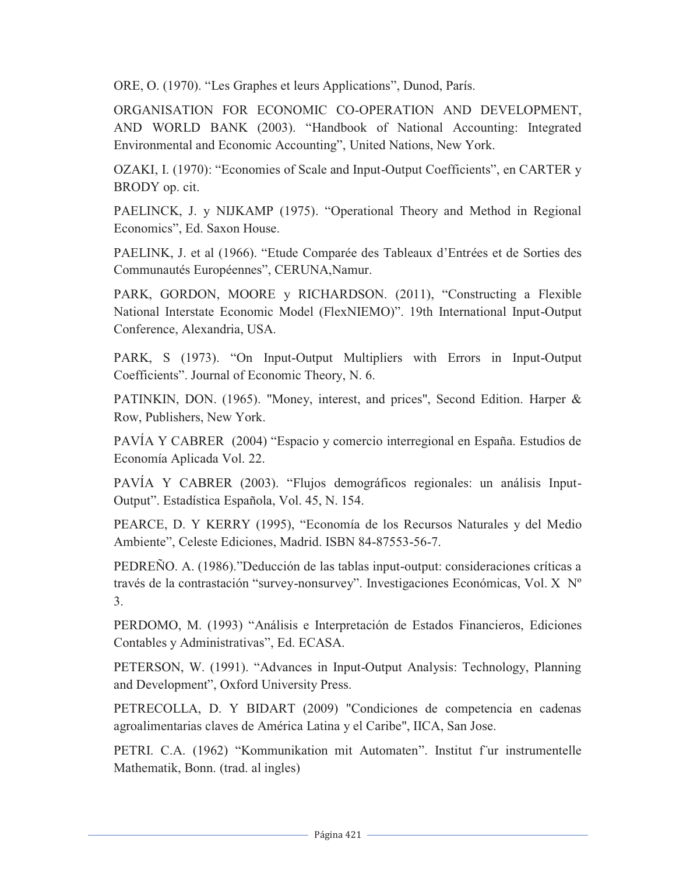ORE, O. (1970). "Les Graphes et leurs Applications", Dunod, París.

ORGANISATION FOR ECONOMIC CO-OPERATION AND DEVELOPMENT, AND WORLD BANK (2003). "Handbook of National Accounting: Integrated Environmental and Economic Accounting", United Nations, New York.

OZAKI, I. (1970): "Economies of Scale and Input-Output Coefficients", en CARTER y BRODY op. cit.

PAELINCK, J. y NIJKAMP (1975). "Operational Theory and Method in Regional Economics", Ed. Saxon House.

PAELINK, J. et al (1966). "Etude Comparée des Tableaux d'Entrées et de Sorties des Communautés Européennes", CERUNA,Namur.

PARK, GORDON, MOORE y RICHARDSON. (2011), "Constructing a Flexible National Interstate Economic Model (FlexNIEMO)". 19th International Input-Output Conference, Alexandria, USA.

PARK, S (1973). "On Input-Output Multipliers with Errors in Input-Output Coefficients". Journal of Economic Theory, N. 6.

PATINKIN, DON. (1965). "Money, interest, and prices", Second Edition. Harper & Row, Publishers, New York.

PAVÍA Y CABRER (2004) "Espacio y comercio interregional en España. Estudios de Economía Aplicada Vol. 22.

PAVÍA Y CABRER (2003). "Flujos demográficos regionales: un análisis Input-Output". Estadística Española, Vol. 45, N. 154.

PEARCE, D. Y KERRY (1995), "Economía de los Recursos Naturales y del Medio Ambiente", Celeste Ediciones, Madrid. ISBN 84-87553-56-7.

PEDREÑO. A. (1986)."Deducción de las tablas input-output: consideraciones críticas a través de la contrastación "survey-nonsurvey". Investigaciones Económicas, Vol. X Nº 3.

PERDOMO, M. (1993) "Análisis e Interpretación de Estados Financieros, Ediciones Contables y Administrativas", Ed. ECASA.

PETERSON, W. (1991). "Advances in Input-Output Analysis: Technology, Planning and Development", Oxford University Press.

PETRECOLLA, D. Y BIDART (2009) "Condiciones de competencia en cadenas agroalimentarias claves de América Latina y el Caribe", IICA, San Jose.

PETRI. C.A. (1962) "Kommunikation mit Automaten". Institut f¨ur instrumentelle Mathematik, Bonn. (trad. al ingles)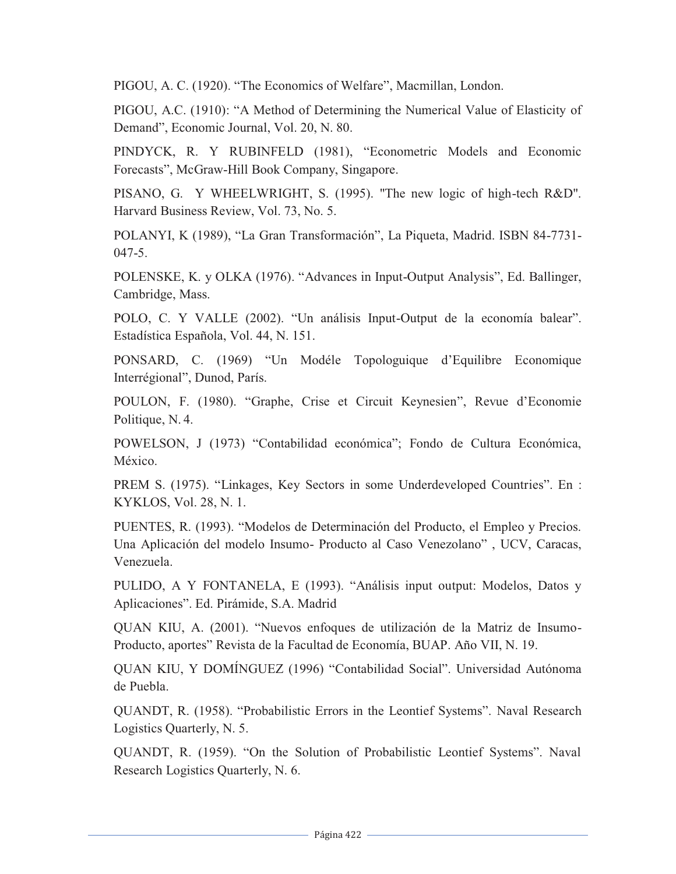PIGOU, A. C. (1920). "The Economics of Welfare", Macmillan, London.

PIGOU, A.C. (1910): "A Method of Determining the Numerical Value of Elasticity of Demand", Economic Journal, Vol. 20, N. 80.

PINDYCK, R. Y RUBINFELD (1981), "Econometric Models and Economic Forecasts", McGraw-Hill Book Company, Singapore.

PISANO, G. Y WHEELWRIGHT, S. (1995). "The new logic of high-tech R&D". Harvard Business Review, Vol. 73, No. 5.

POLANYI, K (1989), "La Gran Transformación", La Piqueta, Madrid. ISBN 84-7731- 047-5.

POLENSKE, K. y OLKA (1976). "Advances in Input-Output Analysis", Ed. Ballinger, Cambridge, Mass.

POLO, C. Y VALLE (2002). "Un análisis Input-Output de la economía balear". Estadística Española, Vol. 44, N. 151.

PONSARD, C. (1969) "Un Modéle Topologuique d'Equilibre Economique Interrégional", Dunod, París.

POULON, F. (1980). "Graphe, Crise et Circuit Keynesien", Revue d'Economie Politique, N. 4.

POWELSON, J (1973) "Contabilidad económica"; Fondo de Cultura Económica, México.

PREM S. (1975). "Linkages, Key Sectors in some Underdeveloped Countries". En : KYKLOS, Vol. 28, N. 1.

PUENTES, R. (1993). "Modelos de Determinación del Producto, el Empleo y Precios. Una Aplicación del modelo Insumo- Producto al Caso Venezolano" , UCV, Caracas, Venezuela.

PULIDO, A Y FONTANELA, E (1993). "Análisis input output: Modelos, Datos y Aplicaciones". Ed. Pirámide, S.A. Madrid

QUAN KIU, A. (2001). "Nuevos enfoques de utilización de la Matriz de Insumo-Producto, aportes" Revista de la Facultad de Economía, BUAP. Año VII, N. 19.

QUAN KIU, Y DOMÍNGUEZ (1996) "Contabilidad Social". Universidad Autónoma de Puebla.

QUANDT, R. (1958). "Probabilistic Errors in the Leontief Systems". Naval Research Logistics Quarterly, N. 5.

QUANDT, R. (1959). "On the Solution of Probabilistic Leontief Systems". Naval Research Logistics Quarterly, N. 6.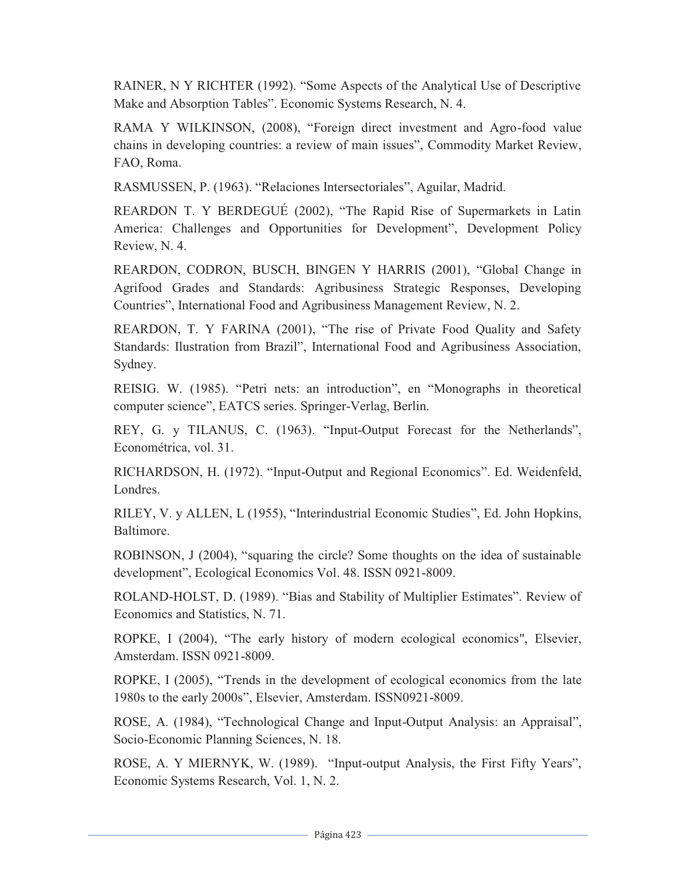RAINER, N Y RICHTER (1992). "Some Aspects of the Analytical Use of Descriptive Make and Absorption Tables". Economic Systems Research, N. 4.

RAMA Y WILKINSON, (2008), "Foreign direct investment and Agro-food value chains in developing countries: a review of main issues", Commodity Market Review, FAO, Roma.

RASMUSSEN, P. (1963). "Relaciones Intersectoriales", Aguilar, Madrid.

REARDON T. Y BERDEGUÉ (2002), "The Rapid Rise of Supermarkets in Latin America: Challenges and Opportunities for Development", Development Policy Review, N. 4.

REARDON, CODRON, BUSCH, BINGEN Y HARRIS (2001), "Global Change in Agrifood Grades and Standards: Agribusiness Strategic Responses, Developing Countries", International Food and Agribusiness Management Review, N. 2.

REARDON, T. Y FARINA (2001), "The rise of Private Food Quality and Safety Standards: Ilustration from Brazil", International Food and Agribusiness Association, Sydney.

REISIG. W. (1985). "Petri nets: an introduction", en "Monographs in theoretical computer science", EATCS series. Springer-Verlag, Berlin.

REY, G. y TILANUS, C. (1963). "Input-Output Forecast for the Netherlands", Econométrica, vol. 31.

RICHARDSON, H. (1972). "Input-Output and Regional Economics". Ed. Weidenfeld, Londres.

RILEY, V. y ALLEN, L (1955), "Interindustrial Economic Studies", Ed. John Hopkins, Baltimore.

ROBINSON, J (2004), "squaring the circle? Some thoughts on the idea of sustainable development", Ecological Economics Vol. 48. ISSN 0921-8009.

ROLAND-HOLST, D. (1989). "Bias and Stability of Multiplier Estimates". Review of Economics and Statistics, N. 71.

ROPKE, I (2004), "The early history of modern ecological economics", Elsevier, Amsterdam. ISSN 0921-8009.

ROPKE, I (2005), "Trends in the development of ecological economics from the late 1980s to the early 2000s", Elsevier, Amsterdam. ISSN0921-8009.

ROSE, A. (1984), "Technological Change and Input-Output Analysis: an Appraisal", Socio-Economic Planning Sciences, N. 18.

ROSE, A. Y MIERNYK, W. (1989). "Input-output Analysis, the First Fifty Years", Economic Systems Research, Vol. 1, N. 2.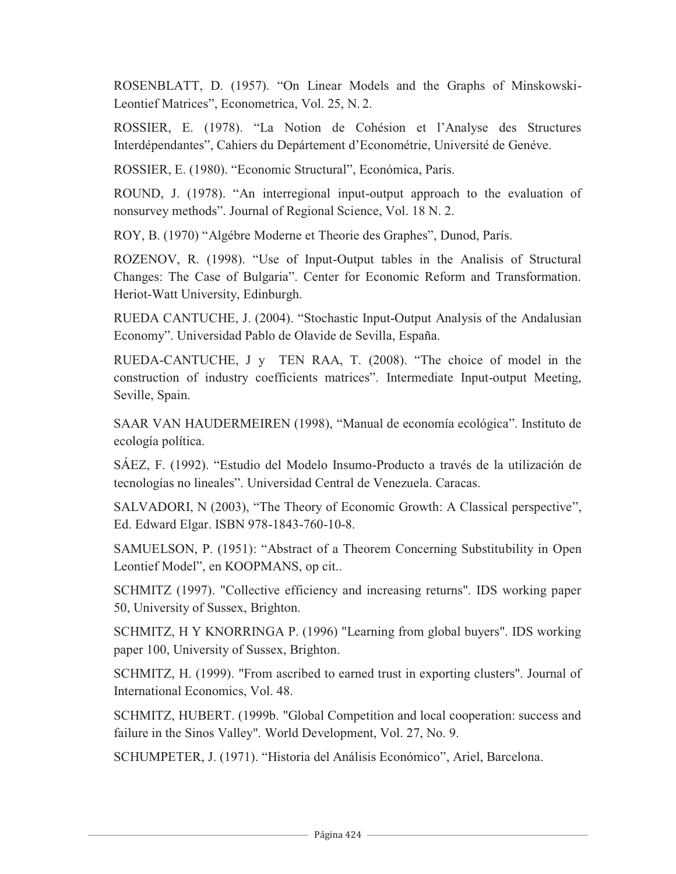ROSENBLATT, D. (1957). "On Linear Models and the Graphs of Minskowski-Leontief Matrices", Econometrica, Vol. 25, N. 2.

ROSSIER, E. (1978). "La Notion de Cohésion et l'Analyse des Structures Interdépendantes", Cahiers du Depártement d'Econométrie, Université de Genéve.

ROSSIER, E. (1980). "Economic Structural", Económica, Paris.

ROUND, J. (1978). "An interregional input-output approach to the evaluation of nonsurvey methods". Journal of Regional Science, Vol. 18 N. 2.

ROY, B. (1970) "Algébre Moderne et Theorie des Graphes", Dunod, París.

ROZENOV, R. (1998). "Use of Input-Output tables in the Analisis of Structural Changes: The Case of Bulgaria". Center for Economic Reform and Transformation. Heriot-Watt University, Edinburgh.

RUEDA CANTUCHE, J. (2004). "Stochastic Input-Output Analysis of the Andalusian Economy". Universidad Pablo de Olavide de Sevilla, España.

RUEDA-CANTUCHE, J y TEN RAA, T. (2008). "The choice of model in the construction of industry coefficients matrices". Intermediate Input-output Meeting, Seville, Spain.

SAAR VAN HAUDERMEIREN (1998), "Manual de economía ecológica". Instituto de ecología política.

SÁEZ, F. (1992). "Estudio del Modelo Insumo-Producto a través de la utilización de tecnologías no lineales". Universidad Central de Venezuela. Caracas.

SALVADORI, N (2003), "The Theory of Economic Growth: A Classical perspective", Ed. Edward Elgar. ISBN 978-1843-760-10-8.

SAMUELSON, P. (1951): "Abstract of a Theorem Concerning Substitubility in Open Leontief Model", en KOOPMANS, op cit..

SCHMITZ (1997). "Collective efficiency and increasing returns". IDS working paper 50, University of Sussex, Brighton.

SCHMITZ, H Y KNORRINGA P. (1996) "Learning from global buyers". IDS working paper 100, University of Sussex, Brighton.

SCHMITZ, H. (1999). "From ascribed to earned trust in exporting clusters". Journal of International Economics, Vol. 48.

SCHMITZ, HUBERT. (1999b. "Global Competition and local cooperation: success and failure in the Sinos Valley". World Development, Vol. 27, No. 9.

SCHUMPETER, J. (1971). "Historia del Análisis Económico", Ariel, Barcelona.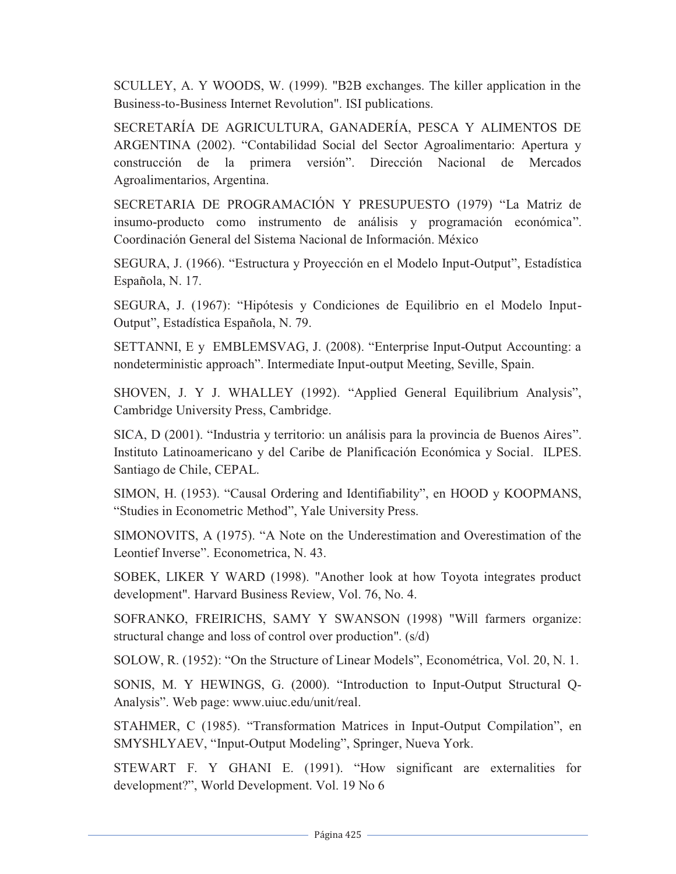SCULLEY, A. Y WOODS, W. (1999). "B2B exchanges. The killer application in the Business-to-Business Internet Revolution". ISI publications.

SECRETARÍA DE AGRICULTURA, GANADERÍA, PESCA Y ALIMENTOS DE ARGENTINA (2002). "Contabilidad Social del Sector Agroalimentario: Apertura y construcción de la primera versión". Dirección Nacional de Mercados Agroalimentarios, Argentina.

SECRETARIA DE PROGRAMACIÓN Y PRESUPUESTO (1979) "La Matriz de insumo-producto como instrumento de análisis y programación económica". Coordinación General del Sistema Nacional de Información. México

SEGURA, J. (1966). "Estructura y Proyección en el Modelo Input-Output", Estadística Española, N. 17.

SEGURA, J. (1967): "Hipótesis y Condiciones de Equilibrio en el Modelo Input-Output", Estadística Española, N. 79.

SETTANNI, E y EMBLEMSVAG, J. (2008). "Enterprise Input-Output Accounting: a nondeterministic approach". Intermediate Input-output Meeting, Seville, Spain.

SHOVEN, J. Y J. WHALLEY (1992). "Applied General Equilibrium Analysis", Cambridge University Press, Cambridge.

SICA, D (2001). "Industria y territorio: un análisis para la provincia de Buenos Aires". Instituto Latinoamericano y del Caribe de Planificación Económica y Social. ILPES. Santiago de Chile, CEPAL.

SIMON, H. (1953). "Causal Ordering and Identifiability", en HOOD y KOOPMANS, "Studies in Econometric Method", Yale University Press.

SIMONOVITS, A (1975). "A Note on the Underestimation and Overestimation of the Leontief Inverse". Econometrica, N. 43.

SOBEK, LIKER Y WARD (1998). "Another look at how Toyota integrates product development". Harvard Business Review, Vol. 76, No. 4.

SOFRANKO, FREIRICHS, SAMY Y SWANSON (1998) "Will farmers organize: structural change and loss of control over production". (s/d)

SOLOW, R. (1952): "On the Structure of Linear Models", Econométrica, Vol. 20, N. 1.

SONIS, M. Y HEWINGS, G. (2000). "Introduction to Input-Output Structural Q-Analysis". Web page: www.uiuc.edu/unit/real.

STAHMER, C (1985). "Transformation Matrices in Input-Output Compilation", en SMYSHLYAEV, "Input-Output Modeling", Springer, Nueva York.

STEWART F. Y GHANI E. (1991). "How significant are externalities for development?", World Development. Vol. 19 No 6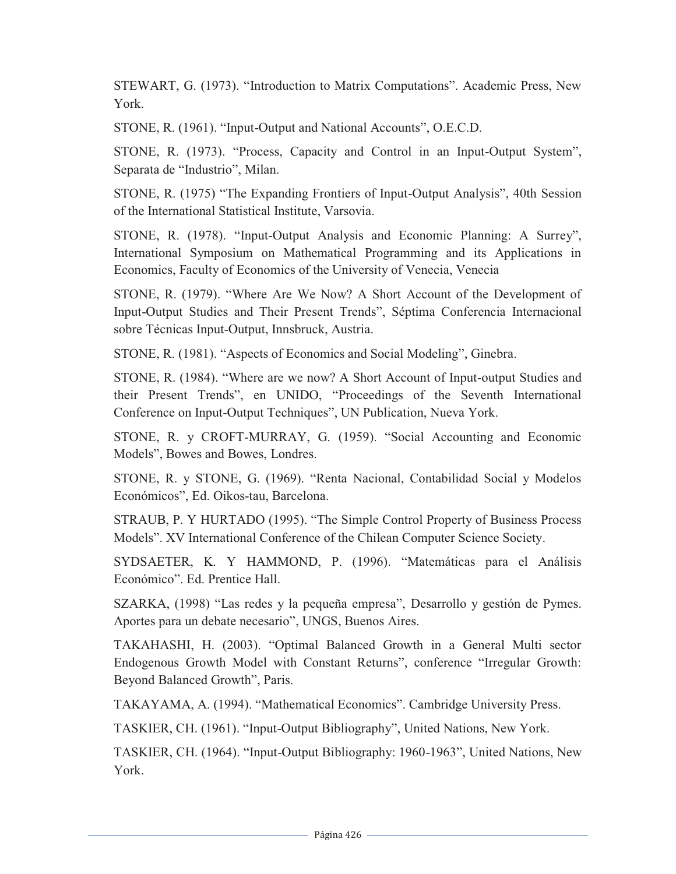STEWART, G. (1973). "Introduction to Matrix Computations". Academic Press, New York.

STONE, R. (1961). "Input-Output and National Accounts", O.E.C.D.

STONE, R. (1973). "Process, Capacity and Control in an Input-Output System", Separata de "Industrio", Milan.

STONE, R. (1975) "The Expanding Frontiers of Input-Output Analysis", 40th Session of the International Statistical Institute, Varsovia.

STONE, R. (1978). "Input-Output Analysis and Economic Planning: A Surrey", International Symposium on Mathematical Programming and its Applications in Economics, Faculty of Economics of the University of Venecia, Venecia

STONE, R. (1979). "Where Are We Now? A Short Account of the Development of Input-Output Studies and Their Present Trends", Séptima Conferencia Internacional sobre Técnicas Input-Output, Innsbruck, Austria.

STONE, R. (1981). "Aspects of Economics and Social Modeling", Ginebra.

STONE, R. (1984). "Where are we now? A Short Account of Input-output Studies and their Present Trends", en UNIDO, "Proceedings of the Seventh International Conference on Input-Output Techniques", UN Publication, Nueva York.

STONE, R. y CROFT-MURRAY, G. (1959). "Social Accounting and Economic Models", Bowes and Bowes, Londres.

STONE, R. y STONE, G. (1969). "Renta Nacional, Contabilidad Social y Modelos Económicos", Ed. Oikos-tau, Barcelona.

STRAUB, P. Y HURTADO (1995). "The Simple Control Property of Business Process Models". XV International Conference of the Chilean Computer Science Society.

SYDSAETER, K. Y HAMMOND, P. (1996). "Matemáticas para el Análisis Económico". Ed. Prentice Hall.

SZARKA, (1998) "Las redes y la pequeña empresa", Desarrollo y gestión de Pymes. Aportes para un debate necesario", UNGS, Buenos Aires.

TAKAHASHI, H. (2003). "Optimal Balanced Growth in a General Multi sector Endogenous Growth Model with Constant Returns", conference "Irregular Growth: Beyond Balanced Growth", Paris.

TAKAYAMA, A. (1994). "Mathematical Economics". Cambridge University Press.

TASKIER, CH. (1961). "Input-Output Bibliography", United Nations, New York.

TASKIER, CH. (1964). "Input-Output Bibliography: 1960-1963", United Nations, New York.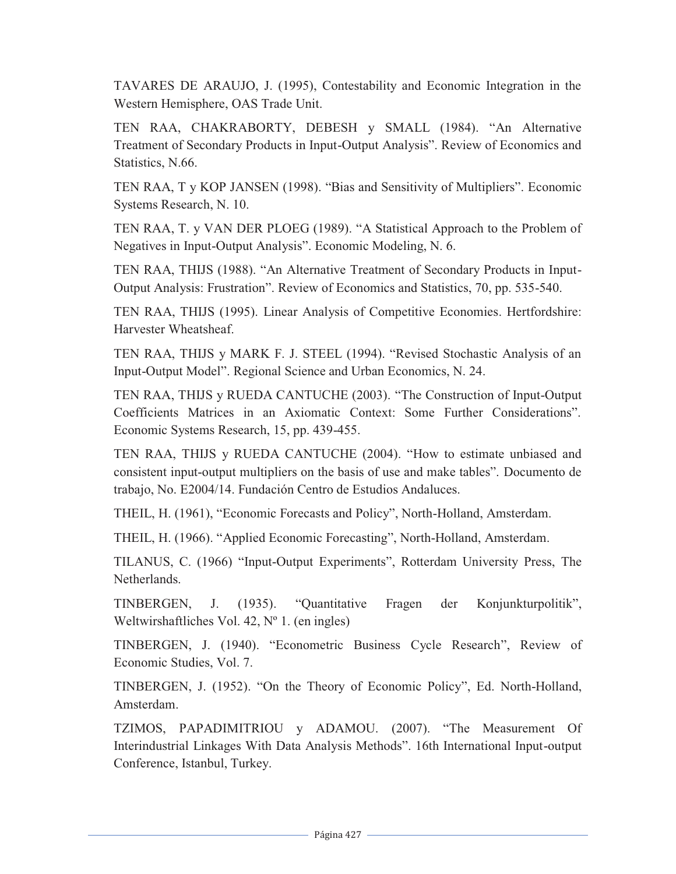TAVARES DE ARAUJO, J. (1995), Contestability and Economic Integration in the Western Hemisphere, OAS Trade Unit.

TEN RAA, CHAKRABORTY, DEBESH y SMALL (1984). "An Alternative Treatment of Secondary Products in Input-Output Analysis". Review of Economics and Statistics, N.66.

TEN RAA, T y KOP JANSEN (1998). "Bias and Sensitivity of Multipliers". Economic Systems Research, N. 10.

TEN RAA, T. y VAN DER PLOEG (1989). "A Statistical Approach to the Problem of Negatives in Input-Output Analysis". Economic Modeling, N. 6.

TEN RAA, THIJS (1988). "An Alternative Treatment of Secondary Products in Input-Output Analysis: Frustration". Review of Economics and Statistics, 70, pp. 535-540.

TEN RAA, THIJS (1995). Linear Analysis of Competitive Economies. Hertfordshire: Harvester Wheatsheaf.

TEN RAA, THIJS y MARK F. J. STEEL (1994). "Revised Stochastic Analysis of an Input-Output Model". Regional Science and Urban Economics, N. 24.

TEN RAA, THIJS y RUEDA CANTUCHE (2003). "The Construction of Input-Output Coefficients Matrices in an Axiomatic Context: Some Further Considerations". Economic Systems Research, 15, pp. 439-455.

TEN RAA, THIJS y RUEDA CANTUCHE (2004). "How to estimate unbiased and consistent input-output multipliers on the basis of use and make tables". Documento de trabajo, No. E2004/14. Fundación Centro de Estudios Andaluces.

THEIL, H. (1961), "Economic Forecasts and Policy", North-Holland, Amsterdam.

THEIL, H. (1966). "Applied Economic Forecasting", North-Holland, Amsterdam.

TILANUS, C. (1966) "Input-Output Experiments", Rotterdam University Press, The Netherlands.

TINBERGEN, J. (1935). "Quantitative Fragen der Konjunkturpolitik", Weltwirshaftliches Vol. 42, Nº 1. (en ingles)

TINBERGEN, J. (1940). "Econometric Business Cycle Research", Review of Economic Studies, Vol. 7.

TINBERGEN, J. (1952). "On the Theory of Economic Policy", Ed. North-Holland, Amsterdam.

TZIMOS, PAPADIMITRIOU y ADAMOU. (2007). "The Measurement Of Interindustrial Linkages With Data Analysis Methods". 16th International Input-output Conference, Istanbul, Turkey.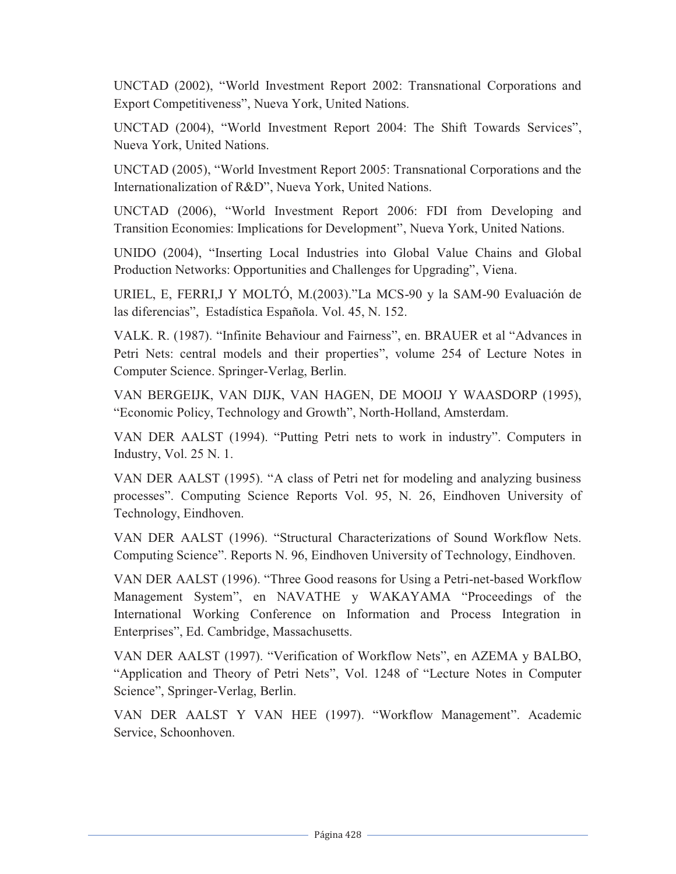UNCTAD (2002), "World Investment Report 2002: Transnational Corporations and Export Competitiveness", Nueva York, United Nations.

UNCTAD (2004), "World Investment Report 2004: The Shift Towards Services", Nueva York, United Nations.

UNCTAD (2005), "World Investment Report 2005: Transnational Corporations and the Internationalization of R&D", Nueva York, United Nations.

UNCTAD (2006), "World Investment Report 2006: FDI from Developing and Transition Economies: Implications for Development", Nueva York, United Nations.

UNIDO (2004), "Inserting Local Industries into Global Value Chains and Global Production Networks: Opportunities and Challenges for Upgrading", Viena.

URIEL, E, FERRI,J Y MOLTÓ, M.(2003)."La MCS-90 y la SAM-90 Evaluación de las diferencias", Estadística Española. Vol. 45, N. 152.

VALK. R. (1987). "Infinite Behaviour and Fairness", en. BRAUER et al "Advances in Petri Nets: central models and their properties", volume 254 of Lecture Notes in Computer Science. Springer-Verlag, Berlin.

VAN BERGEIJK, VAN DIJK, VAN HAGEN, DE MOOIJ Y WAASDORP (1995), "Economic Policy, Technology and Growth", North-Holland, Amsterdam.

VAN DER AALST (1994). "Putting Petri nets to work in industry". Computers in Industry, Vol. 25 N. 1.

VAN DER AALST (1995). "A class of Petri net for modeling and analyzing business processes". Computing Science Reports Vol. 95, N. 26, Eindhoven University of Technology, Eindhoven.

VAN DER AALST (1996). "Structural Characterizations of Sound Workflow Nets. Computing Science". Reports N. 96, Eindhoven University of Technology, Eindhoven.

VAN DER AALST (1996). "Three Good reasons for Using a Petri-net-based Workflow Management System", en NAVATHE y WAKAYAMA "Proceedings of the International Working Conference on Information and Process Integration in Enterprises", Ed. Cambridge, Massachusetts.

VAN DER AALST (1997). "Verification of Workflow Nets", en AZEMA y BALBO, "Application and Theory of Petri Nets", Vol. 1248 of "Lecture Notes in Computer Science", Springer-Verlag, Berlin.

VAN DER AALST Y VAN HEE (1997). "Workflow Management". Academic Service, Schoonhoven.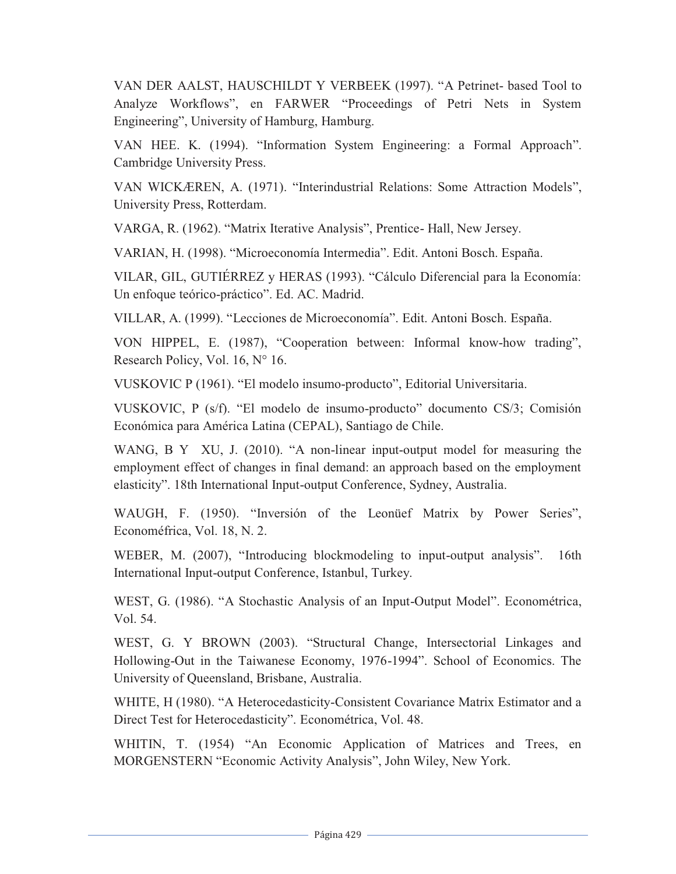VAN DER AALST, HAUSCHILDT Y VERBEEK (1997). "A Petrinet- based Tool to Analyze Workflows", en FARWER "Proceedings of Petri Nets in System Engineering", University of Hamburg, Hamburg.

VAN HEE. K. (1994). "Information System Engineering: a Formal Approach". Cambridge University Press.

VAN WICKÆREN, A. (1971). "Interindustrial Relations: Some Attraction Models", University Press, Rotterdam.

VARGA, R. (1962). "Matrix Iterative Analysis", Prentice- Hall, New Jersey.

VARIAN, H. (1998). "Microeconomía Intermedia". Edit. Antoni Bosch. España.

VILAR, GIL, GUTIÉRREZ y HERAS (1993). "Cálculo Diferencial para la Economía: Un enfoque teórico-práctico". Ed. AC. Madrid.

VILLAR, A. (1999). "Lecciones de Microeconomía". Edit. Antoni Bosch. España.

VON HIPPEL, E. (1987), "Cooperation between: Informal know-how trading", Research Policy, Vol. 16, N° 16.

VUSKOVIC P (1961). "El modelo insumo-producto", Editorial Universitaria.

VUSKOVIC, P (s/f). "El modelo de insumo-producto" documento CS/3; Comisión Económica para América Latina (CEPAL), Santiago de Chile.

WANG, B Y XU, J. (2010). "A non-linear input-output model for measuring the employment effect of changes in final demand: an approach based on the employment elasticity". 18th International Input-output Conference, Sydney, Australia.

WAUGH, F. (1950). "Inversión of the Leonüef Matrix by Power Series", Economéfrica, Vol. 18, N. 2.

WEBER, M. (2007), "Introducing blockmodeling to input-output analysis". 16th International Input-output Conference, Istanbul, Turkey.

WEST, G. (1986). "A Stochastic Analysis of an Input-Output Model". Econométrica, Vol. 54.

WEST, G. Y BROWN (2003). "Structural Change, Intersectorial Linkages and Hollowing-Out in the Taiwanese Economy, 1976-1994". School of Economics. The University of Queensland, Brisbane, Australia.

WHITE, H (1980). "A Heterocedasticity-Consistent Covariance Matrix Estimator and a Direct Test for Heterocedasticity". Econométrica, Vol. 48.

WHITIN, T. (1954) "An Economic Application of Matrices and Trees, en MORGENSTERN "Economic Activity Analysis", John Wiley, New York.